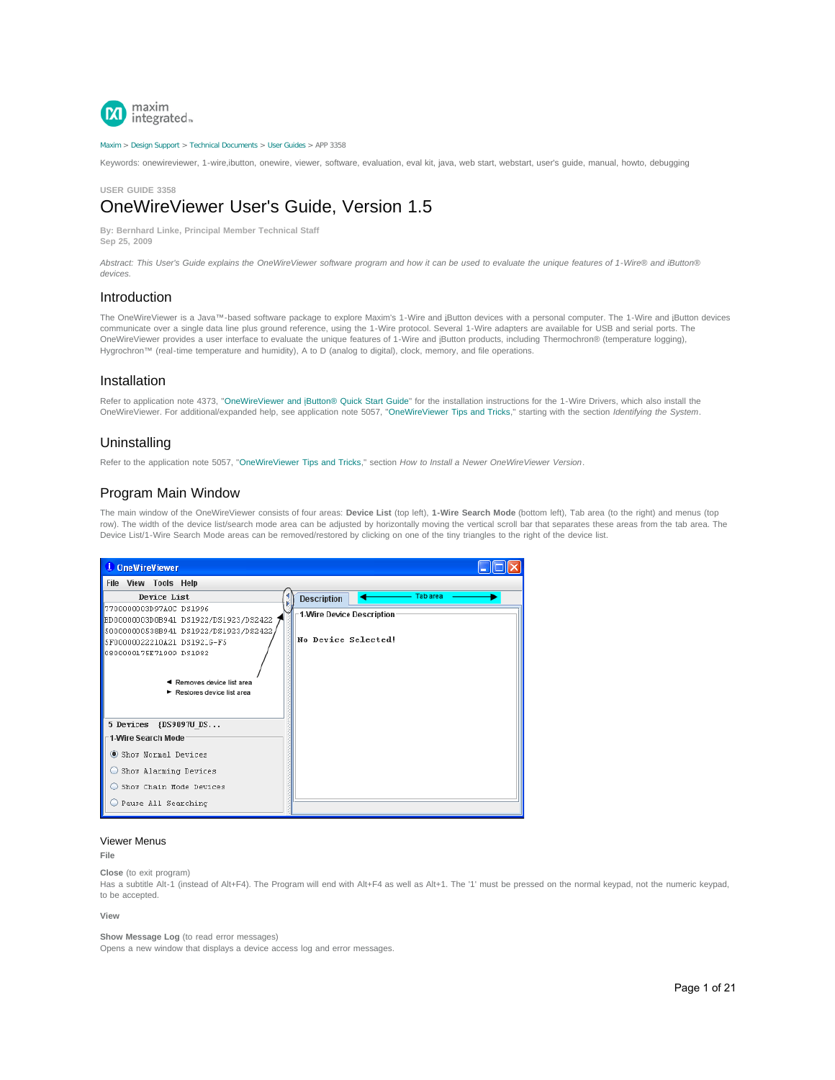

#### [Maxim](http://www.maximintegrated.com/) > [Design Support](http://www.maximintegrated.com/design/) > [Technical Documents](http://www.maximintegrated.com/design/techdocs/) > [User Guides](http://www.maximintegrated.com/design/techdocs/user-guides/index.mvp) > APP 3358

Keywords: onewireviewer, 1-wire,ibutton, onewire, viewer, software, evaluation, eval kit, java, web start, webstart, user's guide, manual, howto, debugging

**USER GUIDE 3358**

# OneWireViewer User's Guide, Version 1.5

**By: Bernhard Linke, Principal Member Technical Staff Sep 25, 2009**

*Abstract: This User's Guide explains the OneWireViewer software program and how it can be used to evaluate the unique features of 1-Wire® and iButton® devices.*

# Introduction

The OneWireViewer is a Java™-based software package to explore Maxim's 1-Wire and jButton devices with a personal computer. The 1-Wire and jButton devices communicate over a single data line plus ground reference, using the 1-Wire protocol. Several 1-Wire adapters are available for USB and serial ports. The OneWireViewer provides a user interface to evaluate the unique features of 1-Wire and iButton products, including Thermochron® (temperature logging), Hygrochron™ (real-time temperature and humidity), A to D (analog to digital), clock, memory, and file operations.

## Installation

Refer to application note 4373, "[OneWireViewer and iButton® Quick Start Guide](http://www.maximintegrated.com/an4373)" for the installation instructions for the 1-Wire Drivers, which also install the OneWireViewer. For additional/expanded help, see application note 5057, "[OneWireViewer Tips and Tricks](http://www.maximintegrated.com/an5057)," starting with the section *Identifying the System*.

# Uninstalling

Refer to the application note 5057, "[OneWireViewer Tips and Tricks,](http://www.maximintegrated.com/an5057)" section *How to Install a Newer OneWireViewer Version*.

# Program Main Window

The main window of the OneWireViewer consists of four areas: **Device List** (top left), **1-Wire Search Mode** (bottom left), Tab area (to the right) and menus (top row). The width of the device list/search mode area can be adjusted by horizontally moving the vertical scroll bar that separates these areas from the tab area. The Device List/1-Wire Search Mode areas can be removed/restored by clicking on one of the tiny triangles to the right of the device list.



## Viewer Menus

**File**

**Close** (to exit program)

Has a subtitle Alt-1 (instead of Alt+F4). The Program will end with Alt+F4 as well as Alt+1. The '1' must be pressed on the normal keypad, not the numeric keypad, to be accepted.

#### **View**

**Show Message Log** (to read error messages)

Opens a new window that displays a device access log and error messages.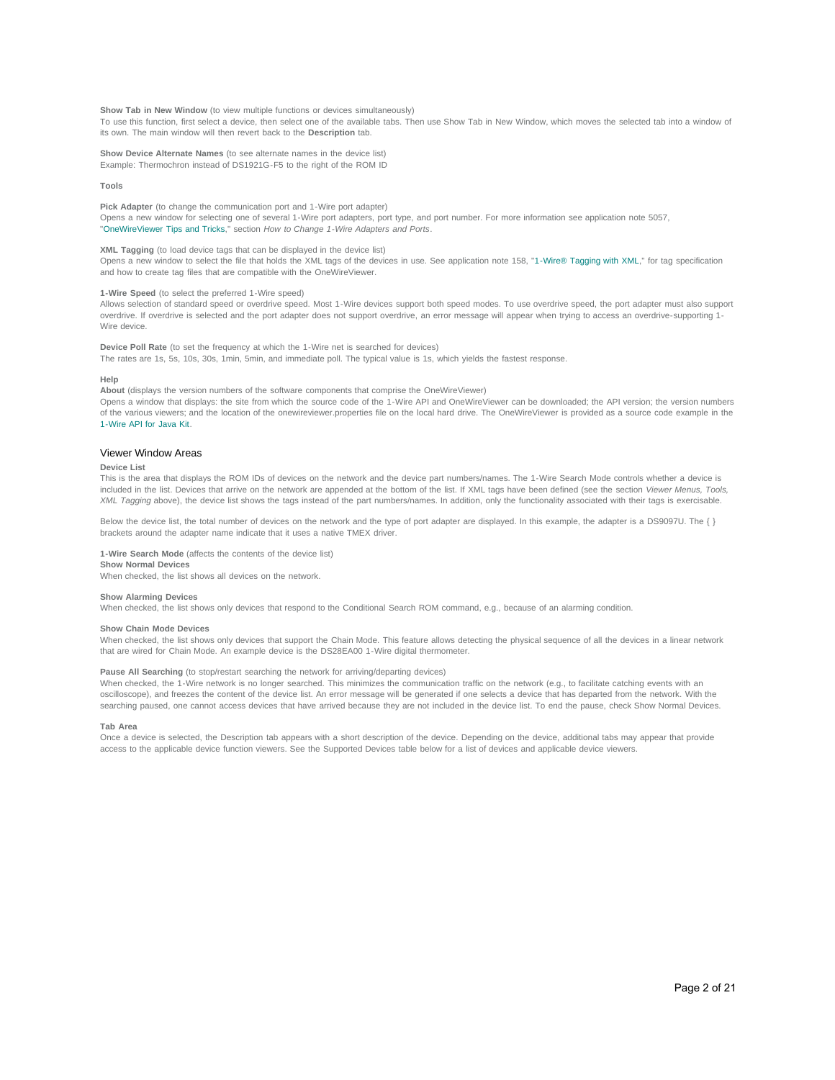**Show Tab in New Window** (to view multiple functions or devices simultaneously)

To use this function, first select a device, then select one of the available tabs. Then use Show Tab in New Window, which moves the selected tab into a window of its own. The main window will then revert back to the **Description** tab.

**Show Device Alternate Names** (to see alternate names in the device list) Example: Thermochron instead of DS1921G-F5 to the right of the ROM ID

#### **Tools**

**Pick Adapter** (to change the communication port and 1-Wire port adapter) Opens a new window for selecting one of several 1-Wire port adapters, port type, and port number. For more information see application note 5057, "[OneWireViewer Tips and Tricks](http://www.maximintegrated.com/an5057)," section *How to Change 1-Wire Adapters and Ports*.

## **XML Tagging** (to load device tags that can be displayed in the device list)

Opens a new window to select the file that holds the XML tags of the devices in use. See application note 158, "[1-Wire® Tagging with XML,](http://www.maximintegrated.com/an158)" for tag specification and how to create tag files that are compatible with the OneWireViewer.

#### **1-Wire Speed** (to select the preferred 1-Wire speed)

Allows selection of standard speed or overdrive speed. Most 1-Wire devices support both speed modes. To use overdrive speed, the port adapter must also support overdrive. If overdrive is selected and the port adapter does not support overdrive, an error message will appear when trying to access an overdrive-supporting 1- Wire device.

**Device Poll Rate** (to set the frequency at which the 1-Wire net is searched for devices) The rates are 1s, 5s, 10s, 30s, 1min, 5min, and immediate poll. The typical value is 1s, which yields the fastest response.

#### **Help**

**About** (displays the version numbers of the software components that comprise the OneWireViewer)

Opens a window that displays: the site from which the source code of the 1-Wire API and OneWireViewer can be downloaded; the API version; the version numbers of the various viewers; and the location of the onewireviewer.properties file on the local hard drive. The OneWireViewer is provided as a source code example in the [1-Wire API for Java Kit](http://www.maximintegrated.com/products/ibutton/software/1wire/1wire_api.cfm).

#### Viewer Window Areas

#### **Device List**

This is the area that displays the ROM IDs of devices on the network and the device part numbers/names. The 1-Wire Search Mode controls whether a device is included in the list. Devices that arrive on the network are appended at the bottom of the list. If XML tags have been defined (see the section *Viewer Menus, Tools, XML Tagging* above), the device list shows the tags instead of the part numbers/names. In addition, only the functionality associated with their tags is exercisable.

Below the device list, the total number of devices on the network and the type of port adapter are displayed. In this example, the adapter is a DS9097U. The { } brackets around the adapter name indicate that it uses a native TMEX driver.

**1-Wire Search Mode** (affects the contents of the device list) **Show Normal Devices**

When checked, the list shows all devices on the network.

#### **Show Alarming Devices**

When checked, the list shows only devices that respond to the Conditional Search ROM command, e.g., because of an alarming condition.

#### **Show Chain Mode Devices**

When checked, the list shows only devices that support the Chain Mode. This feature allows detecting the physical sequence of all the devices in a linear network that are wired for Chain Mode. An example device is the DS28EA00 1-Wire digital thermometer.

#### Pause All Searching (to stop/restart searching the network for arriving/departing devices)

When checked, the 1-Wire network is no longer searched. This minimizes the communication traffic on the network (e.g., to facilitate catching events with an oscilloscope), and freezes the content of the device list. An error message will be generated if one selects a device that has departed from the network. With the searching paused, one cannot access devices that have arrived because they are not included in the device list. To end the pause, check Show Normal Devices.

#### **Tab Area**

Once a device is selected, the Description tab appears with a short description of the device. Depending on the device, additional tabs may appear that provide access to the applicable device function viewers. See the Supported Devices table below for a list of devices and applicable device viewers.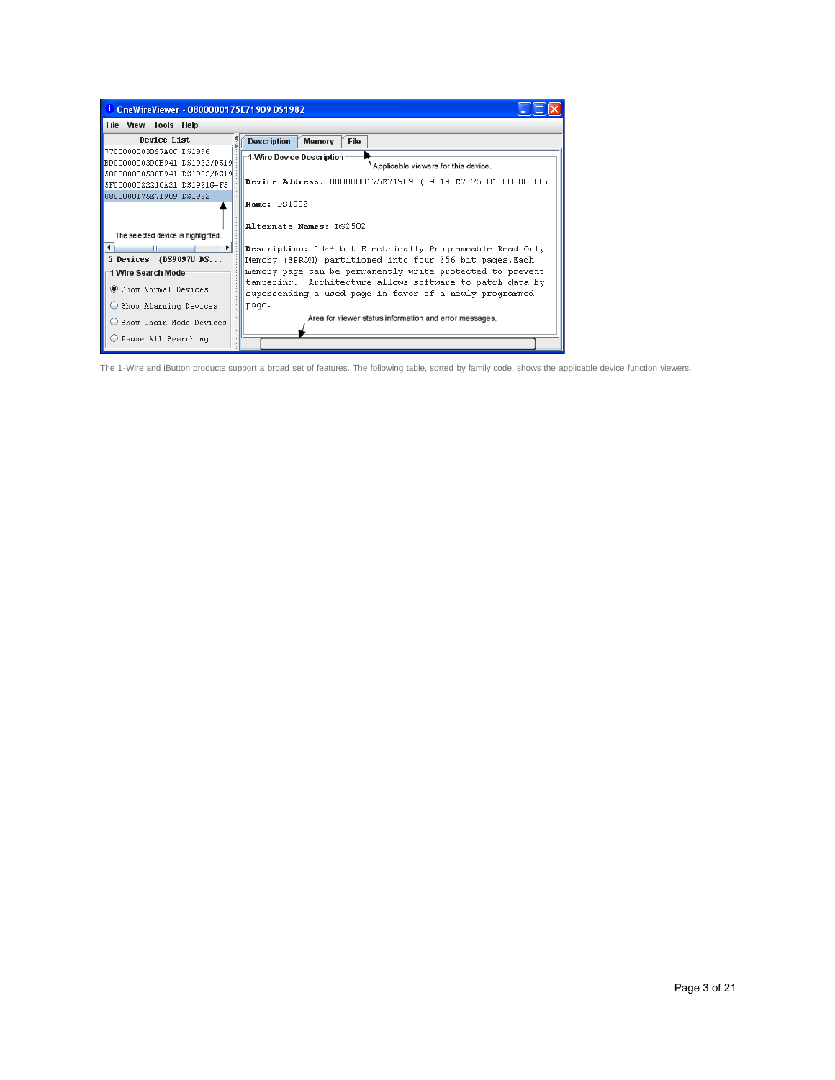| <sup>1</sup> OneWireViewer - 0800000175E71909 DS1982   |                                                                                                                       |  |  |  |  |  |
|--------------------------------------------------------|-----------------------------------------------------------------------------------------------------------------------|--|--|--|--|--|
| File View Tools Help                                   |                                                                                                                       |  |  |  |  |  |
| Device List                                            | <b>Description</b><br>File<br><b>Memory</b>                                                                           |  |  |  |  |  |
| 7700000003D97A0C DS1996                                | $\mathord{\hspace{1pt}\text{--}\hspace{1pt}}$ 1-Wire Device Description $\mathord{\hspace{1pt}\text{--}\hspace{1pt}}$ |  |  |  |  |  |
| BD00000003D0B941 DS1922/DS19                           | Applicable viewers for this device.                                                                                   |  |  |  |  |  |
| 500000000538B941 DS1922/DS19                           | Device Address: 0800000175E71909 (09 19 E7 75 01 00 00 08)                                                            |  |  |  |  |  |
| 5F00000022210A21 DS1921G-F5<br>0800000175E71909 DS1982 |                                                                                                                       |  |  |  |  |  |
|                                                        | <b>Name: DS1982</b>                                                                                                   |  |  |  |  |  |
|                                                        | Alternate Names: DS2502                                                                                               |  |  |  |  |  |
| The selected device is highlighted.                    |                                                                                                                       |  |  |  |  |  |
| HI.<br>$\mathbf{E}$                                    | Description: 1024 bit Electrically Programmable Read Only                                                             |  |  |  |  |  |
| 5 Devices {DS9097U DS                                  | Memory (EPROM) partitioned into four 256 bit pages. Each                                                              |  |  |  |  |  |
| 1-Wire Search Mode                                     | memory page can be permanently write-protected to prevent                                                             |  |  |  |  |  |
| Show Normal Devices                                    | tampering. Architecture allows software to patch data by<br>supersending a used page in favor of a newly programmed   |  |  |  |  |  |
| Show Alarming Devices                                  | page.                                                                                                                 |  |  |  |  |  |
| Show Chain Mode Devices                                | Area for viewer status information and error messages.                                                                |  |  |  |  |  |
| Pause All Searching                                    |                                                                                                                       |  |  |  |  |  |

The 1-Wire and iButton products support a broad set of features. The following table, sorted by family code, shows the applicable device function viewers.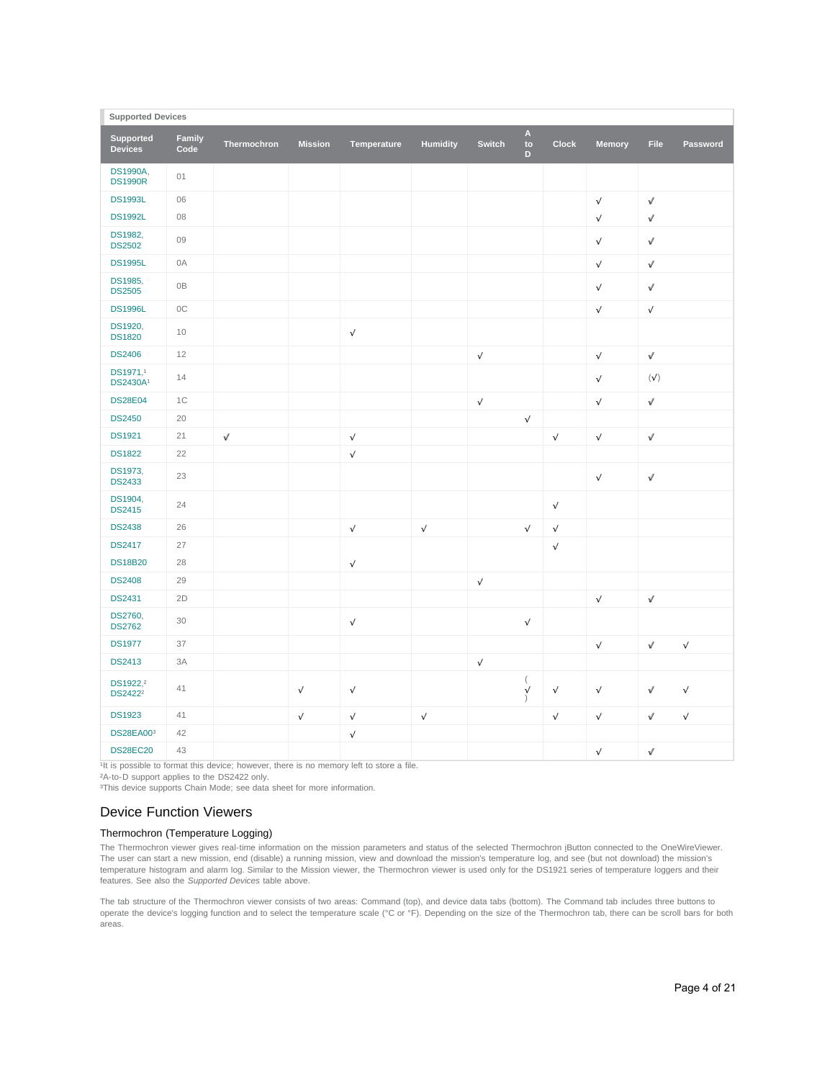| <b>Supported Devices</b>                    |                |             |                |             |                 |               |                                      |              |               |            |           |
|---------------------------------------------|----------------|-------------|----------------|-------------|-----------------|---------------|--------------------------------------|--------------|---------------|------------|-----------|
| <b>Supported</b><br><b>Devices</b>          | Family<br>Code | Thermochron | <b>Mission</b> | Temperature | <b>Humidity</b> | <b>Switch</b> | $\boldsymbol{\mathsf{A}}$<br>to<br>D | <b>Clock</b> | <b>Memory</b> | File       | Password  |
| <b>DS1990A.</b><br><b>DS1990R</b>           | 01             |             |                |             |                 |               |                                      |              |               |            |           |
| <b>DS1993L</b>                              | 06             |             |                |             |                 |               |                                      |              | $\sqrt{}$     | $\sqrt{}$  |           |
| <b>DS1992L</b>                              | 08             |             |                |             |                 |               |                                      |              | $\sqrt{}$     | $\sqrt{ }$ |           |
| DS1982,<br><b>DS2502</b>                    | 09             |             |                |             |                 |               |                                      |              | $\sqrt{}$     | $\sqrt{}$  |           |
| <b>DS1995L</b>                              | 0A             |             |                |             |                 |               |                                      |              | $\sqrt{}$     | $\sqrt{}$  |           |
| DS1985,<br><b>DS2505</b>                    | 0B             |             |                |             |                 |               |                                      |              | $\sqrt{}$     | $\sqrt{}$  |           |
| <b>DS1996L</b>                              | 0C             |             |                |             |                 |               |                                      |              | $\sqrt{}$     | $\sqrt{}$  |           |
| DS1920,<br><b>DS1820</b>                    | 10             |             |                | $\sqrt{}$   |                 |               |                                      |              |               |            |           |
| <b>DS2406</b>                               | 12             |             |                |             |                 | $\sqrt{}$     |                                      |              | $\sqrt{}$     | $\sqrt{}$  |           |
| DS1971.1<br><b>DS2430A1</b>                 | 14             |             |                |             |                 |               |                                      |              | $\sqrt{}$     | (v')       |           |
| <b>DS28E04</b>                              | 1C             |             |                |             |                 | $\sqrt{}$     |                                      |              | $\sqrt{}$     | Ą,         |           |
| <b>DS2450</b>                               | 20             |             |                |             |                 |               | $\sqrt{ }$                           |              |               |            |           |
| <b>DS1921</b>                               | 21             | $\sqrt{}$   |                | $\sqrt{}$   |                 |               |                                      | $\checkmark$ | $\sqrt{}$     | $\sqrt{}$  |           |
| <b>DS1822</b>                               | 22             |             |                | $\sqrt{}$   |                 |               |                                      |              |               |            |           |
| DS1973,<br><b>DS2433</b>                    | 23             |             |                |             |                 |               |                                      |              | $\sqrt{}$     | $\sqrt{}$  |           |
| DS1904,<br><b>DS2415</b>                    | 24             |             |                |             |                 |               |                                      | $\sqrt{}$    |               |            |           |
| <b>DS2438</b>                               | 26             |             |                | $\sqrt{}$   | $\sqrt{}$       |               | $\checkmark$                         | $\sqrt{}$    |               |            |           |
| <b>DS2417</b>                               | 27             |             |                |             |                 |               |                                      | $\checkmark$ |               |            |           |
| <b>DS18B20</b>                              | 28             |             |                | $\sqrt{}$   |                 |               |                                      |              |               |            |           |
| <b>DS2408</b>                               | 29             |             |                |             |                 | A,            |                                      |              |               |            |           |
| <b>DS2431</b>                               | 2D             |             |                |             |                 |               |                                      |              | $\sqrt{}$     | $\sqrt{}$  |           |
| DS2760,<br><b>DS2762</b>                    | 30             |             |                | $\sqrt{}$   |                 |               | $\sqrt{}$                            |              |               |            |           |
| <b>DS1977</b>                               | 37             |             |                |             |                 |               |                                      |              | $\sqrt{}$     | A.         | $\sqrt{}$ |
| <b>DS2413</b>                               | 3A             |             |                |             |                 | $\sqrt{}$     |                                      |              |               |            |           |
| DS1922, <sup>2</sup><br>DS2422 <sup>2</sup> | 41             |             | A.             | $\sqrt{}$   |                 |               | $\left($<br>$\sqrt{ }$               | v            | $\sqrt{}$     | A,         | $\sqrt{}$ |
| <b>DS1923</b>                               | 41             |             | $\sqrt{}$      | $\sqrt{}$   | $\sqrt{}$       |               |                                      | $\sqrt{}$    | $\sqrt{}$     | $\sqrt{}$  | V         |
| <b>DS28EA003</b>                            | 42             |             |                | $\sqrt{}$   |                 |               |                                      |              |               |            |           |
| <b>DS28EC20</b>                             | 43             |             |                |             |                 |               |                                      |              | $\sqrt{}$     | A.         |           |

<sup>1</sup>It is possible to format this device; however, there is no memory left to store a file.

²A-to-D support applies to the DS2422 only.

<sup>3</sup>This device supports Chain Mode; see data sheet for more information.

# Device Function Viewers

# Thermochron (Temperature Logging)

The Thermochron viewer gives real-time information on the mission parameters and status of the selected Thermochron iButton connected to the OneWireViewer. The user can start a new mission, end (disable) a running mission, view and download the mission's temperature log, and see (but not download) the mission's temperature histogram and alarm log. Similar to the Mission viewer, the Thermochron viewer is used only for the DS1921 series of temperature loggers and their features. See also the *Supported Devices* table above.

The tab structure of the Thermochron viewer consists of two areas: Command (top), and device data tabs (bottom). The Command tab includes three buttons to operate the device's logging function and to select the temperature scale (°C or °F). Depending on the size of the Thermochron tab, there can be scroll bars for both areas.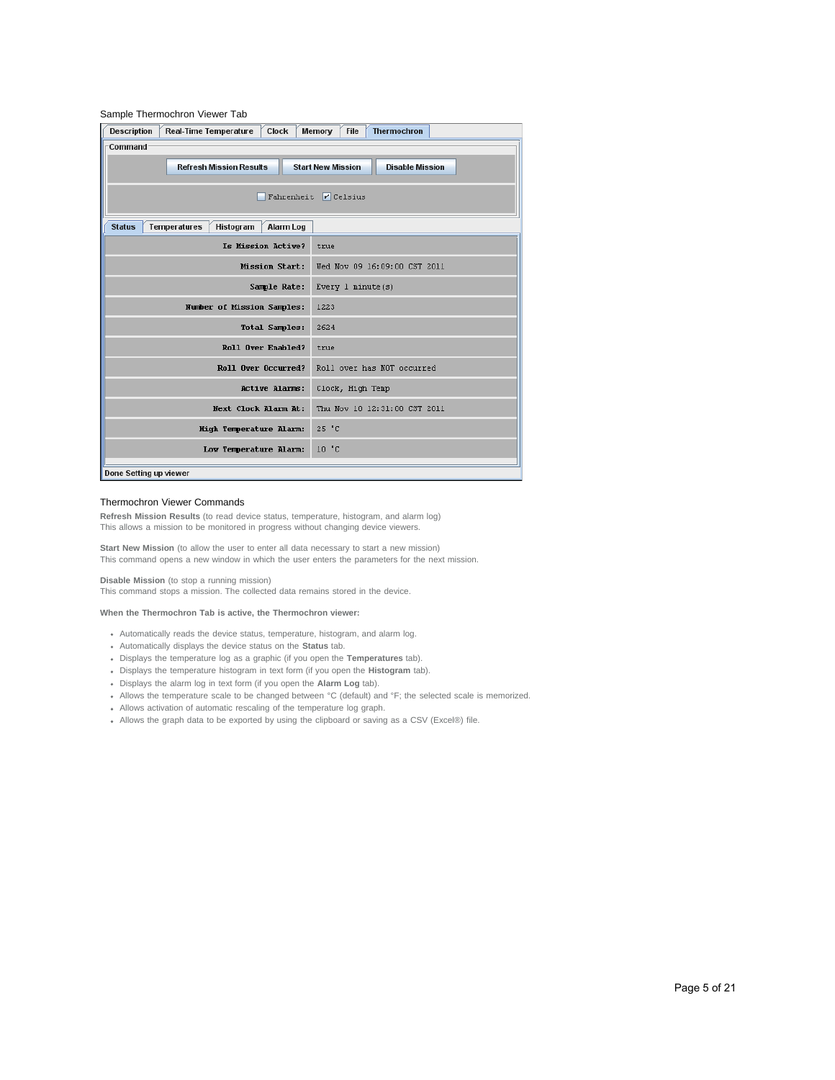| Sample Thermochron Viewer Tab      |                                                                                      |                                             |  |  |  |  |  |  |
|------------------------------------|--------------------------------------------------------------------------------------|---------------------------------------------|--|--|--|--|--|--|
| <b>Description</b>                 | <b>Real-Time Temperature</b><br>Clock                                                | <b>Thermochron</b><br><b>File</b><br>Memory |  |  |  |  |  |  |
| -Command                           |                                                                                      |                                             |  |  |  |  |  |  |
|                                    | <b>Start New Mission</b><br><b>Refresh Mission Results</b><br><b>Disable Mission</b> |                                             |  |  |  |  |  |  |
| Fahrenheit $\triangledown$ Celsius |                                                                                      |                                             |  |  |  |  |  |  |
| <b>Status</b>                      | <b>Temperatures</b><br>Histogram<br><b>Alarm Log</b>                                 |                                             |  |  |  |  |  |  |
|                                    | Is Mission Active?                                                                   | true                                        |  |  |  |  |  |  |
|                                    | <b>Mission Start:</b>                                                                | Wed Nov 09 16:09:00 CST 2011                |  |  |  |  |  |  |
|                                    | Sample Rate:                                                                         | Every 1 minute(s)                           |  |  |  |  |  |  |
|                                    | Number of Mission Samples:                                                           | 1223                                        |  |  |  |  |  |  |
|                                    | <b>Total Samples:</b>                                                                | 2624                                        |  |  |  |  |  |  |
|                                    | Roll Over Enabled?                                                                   | true                                        |  |  |  |  |  |  |
|                                    | Roll Over Occurred?                                                                  | Roll over has NOT occurred                  |  |  |  |  |  |  |
|                                    | Active Alarms:                                                                       | Clock, High Temp                            |  |  |  |  |  |  |
|                                    | Next Clock Alarm At:                                                                 | Thu Nov 10 12:31:00 CST 2011                |  |  |  |  |  |  |
|                                    | High Temperature Alarm:                                                              | 25 °C                                       |  |  |  |  |  |  |
|                                    | Low Temperature Alarm:                                                               | $10o$ $C$                                   |  |  |  |  |  |  |
| Done Setting up viewer             |                                                                                      |                                             |  |  |  |  |  |  |

## Thermochron Viewer Commands

**Refresh Mission Results** (to read device status, temperature, histogram, and alarm log) This allows a mission to be monitored in progress without changing device viewers.

**Start New Mission** (to allow the user to enter all data necessary to start a new mission) This command opens a new window in which the user enters the parameters for the next mission.

**Disable Mission** (to stop a running mission)

This command stops a mission. The collected data remains stored in the device.

# **When the Thermochron Tab is active, the Thermochron viewer:**

- Automatically reads the device status, temperature, histogram, and alarm log.
- Automatically displays the device status on the **Status** tab.
- Displays the temperature log as a graphic (if you open the **Temperatures** tab).
- Displays the temperature histogram in text form (if you open the **Histogram** tab).
- Displays the alarm log in text form (if you open the **Alarm Log** tab).
- Allows the temperature scale to be changed between °C (default) and °F; the selected scale is memorized.
- Allows activation of automatic rescaling of the temperature log graph.
- Allows the graph data to be exported by using the clipboard or saving as a CSV (Excel®) file.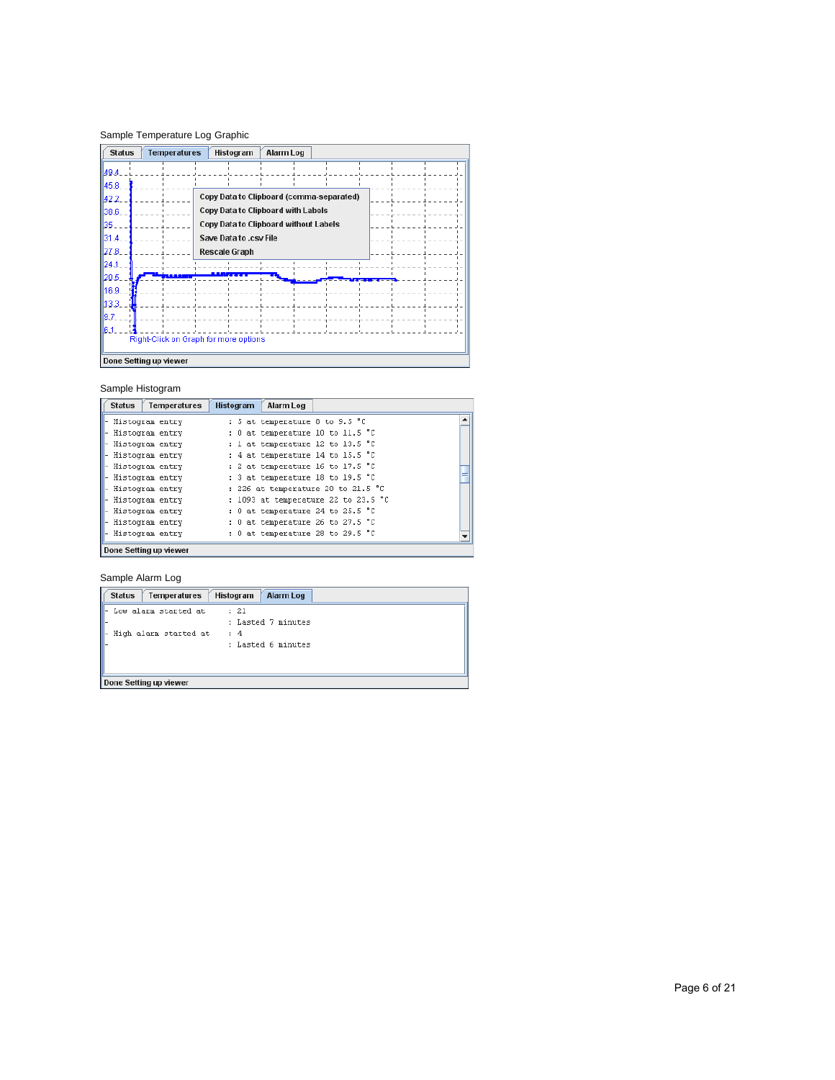# Sample Temperature Log Graphic

| <b>Status</b>                         | <b>Temperatures</b><br>Alarm Log<br>Histogram |  |  |  |  |  |  |
|---------------------------------------|-----------------------------------------------|--|--|--|--|--|--|
| 49.4                                  |                                               |  |  |  |  |  |  |
| 45.8                                  |                                               |  |  |  |  |  |  |
| 42.2                                  | Copy Data to Clipboard (comma-separated)      |  |  |  |  |  |  |
| 38.6                                  | Copy Data to Clipboard with Labels            |  |  |  |  |  |  |
| 135.                                  | Copy Data to Clipboard without Labels         |  |  |  |  |  |  |
| 31.4                                  | Save Data to .csv File                        |  |  |  |  |  |  |
| 127.8.                                | <b>Rescale Graph</b>                          |  |  |  |  |  |  |
| 24.1                                  |                                               |  |  |  |  |  |  |
| 20.5.                                 |                                               |  |  |  |  |  |  |
| 16.9                                  |                                               |  |  |  |  |  |  |
| lb 3.3.                               |                                               |  |  |  |  |  |  |
| 9.7                                   |                                               |  |  |  |  |  |  |
| 6.1                                   |                                               |  |  |  |  |  |  |
| Right-Click on Graph for more options |                                               |  |  |  |  |  |  |
| Done Setting up viewer                |                                               |  |  |  |  |  |  |

# Sample Histogram

| <b>Status</b><br>Temperatures | <b>Histogram</b><br>Alarm Log       |   |
|-------------------------------|-------------------------------------|---|
| - Histogram entry             | : 5 at temperature 8 to 9.5 °C      | ▲ |
| - Histogram entry             | : 0 at temperature 10 to 11.5 °C    |   |
| - Histogram entry             | : 1 at temperature 12 to 13.5 °C    |   |
| - Histogram entry             | : 4 at temperature 14 to 15.5 °C    |   |
| - Histogram entry             | : 2 at temperature 16 to 17.5 °C    |   |
| - Histogram entry             | : 3 at temperature 18 to 19.5 °C    |   |
| - Histogram entry             | : 226 at temperature 20 to 21.5 °C  |   |
| - Histogram entry             | : 1093 at temperature 22 to 23.5 °C |   |
| - Histogram entry             | : 0 at temperature 24 to 25.5 °C    |   |
| - Histogram entry             | : 0 at temperature 26 to 27.5 °C    |   |
| - Histogram entry             | : 0 at temperature 28 to 29.5 °C    |   |
| Done Setting up viewer        |                                     |   |

# Sample Alarm Log

| <b>Status</b><br><b>Temperatures</b> | <b>Alarm Log</b><br>Histogram |
|--------------------------------------|-------------------------------|
| Low alarm started at                 | $\cdots$ $21$                 |
|                                      | : Lasted 7 minutes            |
| High alarm started at                | : 4                           |
|                                      | : Lasted 6 minutes            |
|                                      |                               |
|                                      |                               |
| Done Setting up viewer               |                               |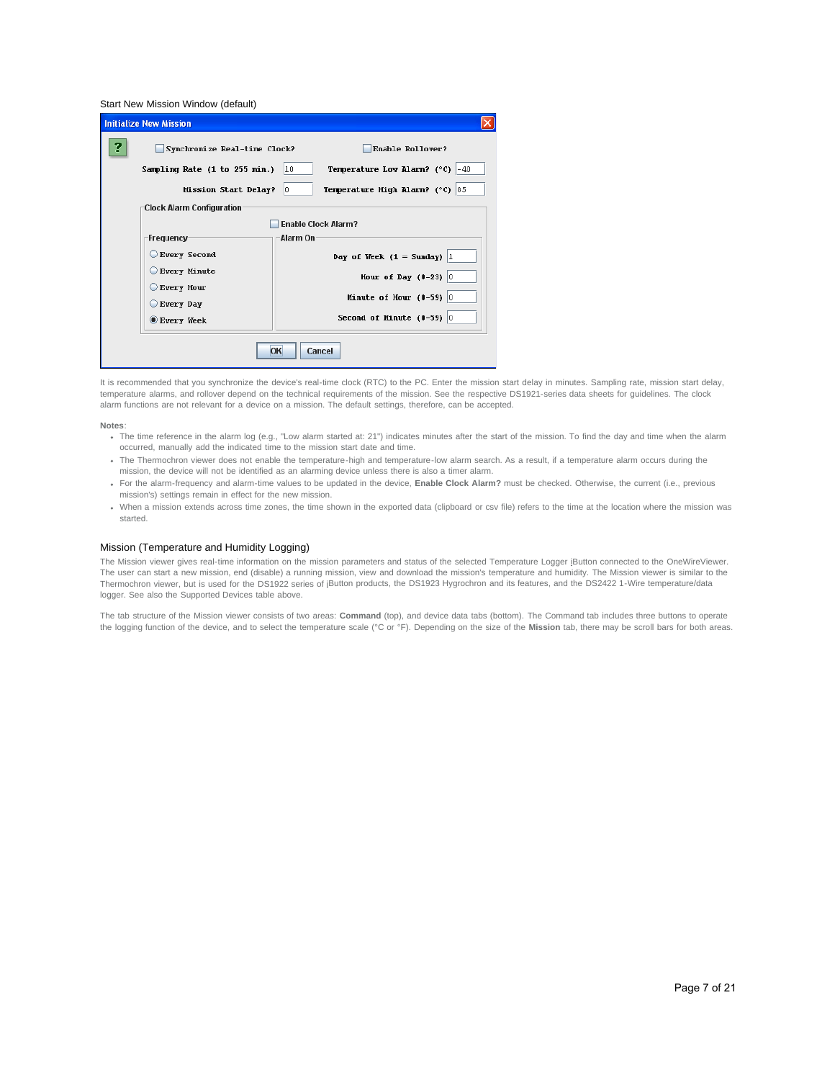Start New Mission Window (default)

|              | <b>Initialize New Mission</b>    |                                                          |  |  |  |  |  |
|--------------|----------------------------------|----------------------------------------------------------|--|--|--|--|--|
|              | Synchronize Real-time Clock?     | Enable Rollover?                                         |  |  |  |  |  |
|              | Sampling Rate (1 to 255 min.)    | Temperature Low Alarm? $(^{\circ}C)$ -40<br>10           |  |  |  |  |  |
|              | Mission Start Delay?             | <b>Temperature High Alarm?</b> ( $^{\circ}$ C) 85<br>lo. |  |  |  |  |  |
|              | <b>Clock Alarm Configuration</b> |                                                          |  |  |  |  |  |
|              |                                  | <b>Enable Clock Alarm?</b>                               |  |  |  |  |  |
|              | -Frequency-                      | Alarm On:                                                |  |  |  |  |  |
|              | Every Second                     | Day of Week $(1 = Sunday)$ 1                             |  |  |  |  |  |
|              | Every Minute                     | Hour of Day $(0-23)$ 0                                   |  |  |  |  |  |
|              | Every Hour                       |                                                          |  |  |  |  |  |
|              | Every Day                        | Minute of Hour $(0-59)$ 0                                |  |  |  |  |  |
|              | Every Week                       | Second of Minute $(0-59)$ 0                              |  |  |  |  |  |
| Cancel<br>OK |                                  |                                                          |  |  |  |  |  |

It is recommended that you synchronize the device's real-time clock (RTC) to the PC. Enter the mission start delay in minutes. Sampling rate, mission start delay, temperature alarms, and rollover depend on the technical requirements of the mission. See the respective DS1921-series data sheets for guidelines. The clock alarm functions are not relevant for a device on a mission. The default settings, therefore, can be accepted.

#### **Notes**:

- . The time reference in the alarm log (e.g., "Low alarm started at: 21") indicates minutes after the start of the mission. To find the day and time when the alarm occurred, manually add the indicated time to the mission start date and time.
- The Thermochron viewer does not enable the temperature-high and temperature-low alarm search. As a result, if a temperature alarm occurs during the mission, the device will not be identified as an alarming device unless there is also a timer alarm.
- For the alarm-frequency and alarm-time values to be updated in the device, **Enable Clock Alarm?** must be checked. Otherwise, the current (i.e., previous mission's) settings remain in effect for the new mission.
- When a mission extends across time zones, the time shown in the exported data (clipboard or csv file) refers to the time at the location where the mission was started.

## Mission (Temperature and Humidity Logging)

The Mission viewer gives real-time information on the mission parameters and status of the selected Temperature Logger iButton connected to the OneWireViewer. The user can start a new mission, end (disable) a running mission, view and download the mission's temperature and humidity. The Mission viewer is similar to the Thermochron viewer, but is used for the DS1922 series of iButton products, the DS1923 Hygrochron and its features, and the DS2422 1-Wire temperature/data logger. See also the Supported Devices table above.

The tab structure of the Mission viewer consists of two areas: **Command** (top), and device data tabs (bottom). The Command tab includes three buttons to operate the logging function of the device, and to select the temperature scale (°C or °F). Depending on the size of the **Mission** tab, there may be scroll bars for both areas.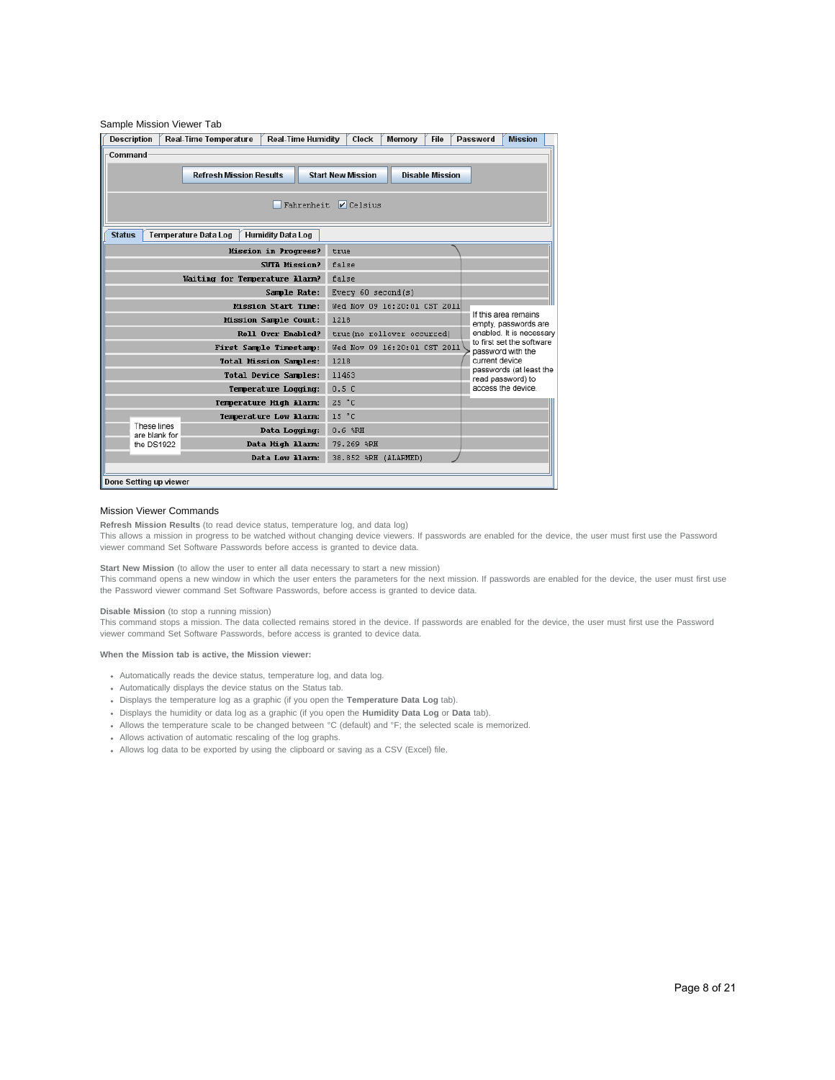| <b>Description</b>                                                                   | <b>Real-Time Temperature</b> | <b>Real-Time Humidity</b>      | Clock                                                                                                          | Memory | File | Password | <b>Mission</b>                               |  |  |
|--------------------------------------------------------------------------------------|------------------------------|--------------------------------|----------------------------------------------------------------------------------------------------------------|--------|------|----------|----------------------------------------------|--|--|
| Command                                                                              |                              |                                |                                                                                                                |        |      |          |                                              |  |  |
| <b>Refresh Mission Results</b><br><b>Start New Mission</b><br><b>Disable Mission</b> |                              |                                |                                                                                                                |        |      |          |                                              |  |  |
|                                                                                      |                              |                                |                                                                                                                |        |      |          |                                              |  |  |
|                                                                                      |                              |                                | Fahrenheit V Celsius                                                                                           |        |      |          |                                              |  |  |
|                                                                                      |                              |                                |                                                                                                                |        |      |          |                                              |  |  |
| <b>Status</b>                                                                        | <b>Temperature Data Log</b>  | <b>Humidity Data Log</b>       |                                                                                                                |        |      |          |                                              |  |  |
|                                                                                      |                              | Mission in Progress?           | true                                                                                                           |        |      |          |                                              |  |  |
|                                                                                      |                              | <b>SUTA Mission?</b>           | false                                                                                                          |        |      |          |                                              |  |  |
|                                                                                      |                              | Waiting for Temperature Alarm? | false                                                                                                          |        |      |          |                                              |  |  |
|                                                                                      |                              | Sample Rate:                   | Every 60 second(s)                                                                                             |        |      |          |                                              |  |  |
|                                                                                      |                              | <b>Mission Start Time:</b>     | Wed Nov 09 16:20:01 CST 2011                                                                                   |        |      |          |                                              |  |  |
|                                                                                      |                              | Mission Sample Count:          | If this area remains<br>1218<br>empty, passwords are<br>enabled. It is necessary<br>true(no rollover occurred) |        |      |          |                                              |  |  |
|                                                                                      |                              | Roll Over Enabled?             |                                                                                                                |        |      |          |                                              |  |  |
|                                                                                      |                              | First Sample Timestamp:        | to first set the software<br>Wed Nov 09 16:20:01 CST 2011<br>password with the                                 |        |      |          |                                              |  |  |
|                                                                                      |                              | <b>Total Mission Samples:</b>  | current device<br>1218                                                                                         |        |      |          |                                              |  |  |
|                                                                                      |                              | Total Device Samples:          | 11463                                                                                                          |        |      |          | passwords (at least the<br>read password) to |  |  |
|                                                                                      |                              | Temperature Loqqinq:           | 0.5C                                                                                                           |        |      |          | access the device.                           |  |  |
|                                                                                      |                              | Temperature High Alarm:        | 25 °C                                                                                                          |        |      |          |                                              |  |  |
|                                                                                      |                              | Temperature Low Alarm:         | 15 °C                                                                                                          |        |      |          |                                              |  |  |
| These lines<br>are blank for                                                         |                              | Data Logging:                  | $0.6$ $R$ H                                                                                                    |        |      |          |                                              |  |  |
| the DS1922                                                                           |                              | Data High Alarm:               | 79.269 %RH                                                                                                     |        |      |          |                                              |  |  |
|                                                                                      |                              | Data Low Alarm:                | 38.852 %RH (ALARMED)                                                                                           |        |      |          |                                              |  |  |
|                                                                                      |                              |                                |                                                                                                                |        |      |          |                                              |  |  |

#### Mission Viewer Commands

**Refresh Mission Results** (to read device status, temperature log, and data log)

This allows a mission in progress to be watched without changing device viewers. If passwords are enabled for the device, the user must first use the Password viewer command Set Software Passwords before access is granted to device data.

## **Start New Mission** (to allow the user to enter all data necessary to start a new mission)

This command opens a new window in which the user enters the parameters for the next mission. If passwords are enabled for the device, the user must first use the Password viewer command Set Software Passwords, before access is granted to device data.

#### **Disable Mission** (to stop a running mission)

This command stops a mission. The data collected remains stored in the device. If passwords are enabled for the device, the user must first use the Password viewer command Set Software Passwords, before access is granted to device data.

#### **When the Mission tab is active, the Mission viewer:**

- Automatically reads the device status, temperature log, and data log.
- Automatically displays the device status on the Status tab.
- Displays the temperature log as a graphic (if you open the **Temperature Data Log** tab).
- Displays the humidity or data log as a graphic (if you open the **Humidity Data Log** or **Data** tab).
- Allows the temperature scale to be changed between °C (default) and °F; the selected scale is memorized.
- Allows activation of automatic rescaling of the log graphs.
- Allows log data to be exported by using the clipboard or saving as a CSV (Excel) file.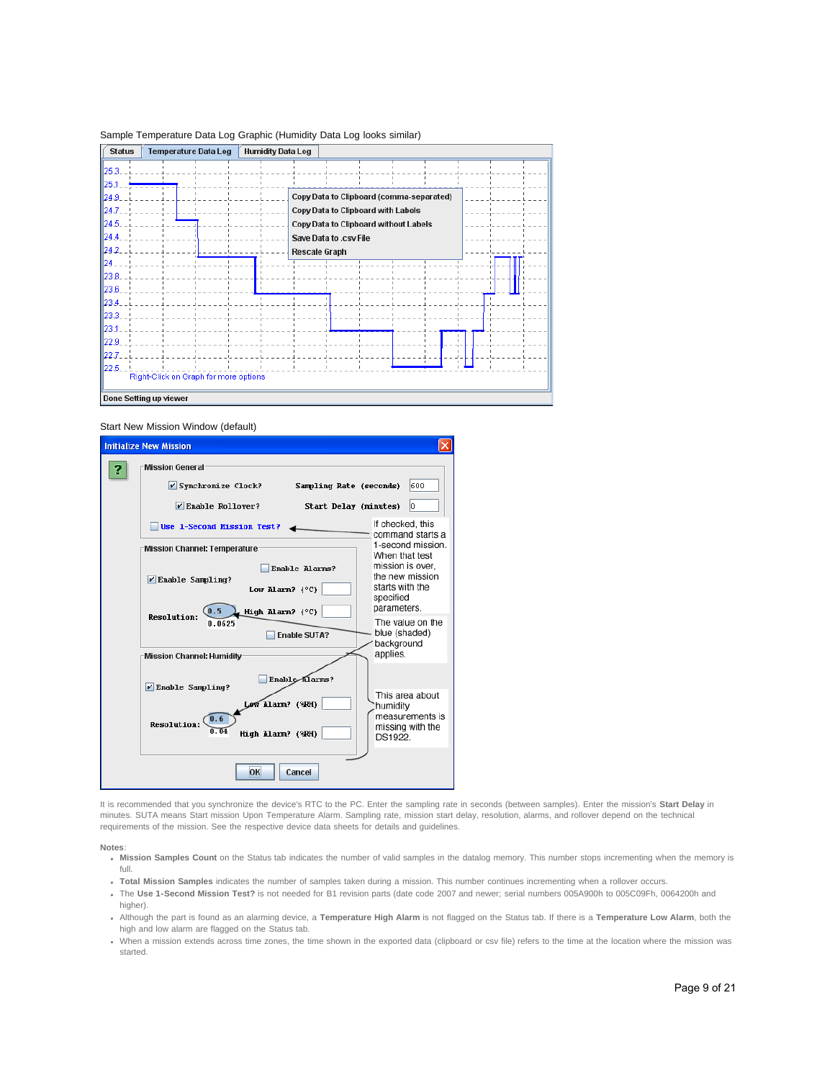|  | Sample Temperature Data Log Graphic (Humidity Data Log looks similar) |  |  |  |  |
|--|-----------------------------------------------------------------------|--|--|--|--|
|  |                                                                       |  |  |  |  |

| <b>Status</b>          | <b>Temperature Data Log</b>           |  |  | <b>Humidity Data Log</b> |                        |  |                                           |  |  |  |
|------------------------|---------------------------------------|--|--|--------------------------|------------------------|--|-------------------------------------------|--|--|--|
| 125.3.                 |                                       |  |  |                          |                        |  |                                           |  |  |  |
| 125.1                  |                                       |  |  |                          |                        |  |                                           |  |  |  |
| 124.9.                 |                                       |  |  |                          |                        |  | Copy Data to Clipboard (comma-separated)  |  |  |  |
| $\ 24J\ $              |                                       |  |  |                          |                        |  | <b>Copy Data to Clipboard with Labels</b> |  |  |  |
| 124.5.                 |                                       |  |  |                          |                        |  | Copy Data to Clipboard without Labels     |  |  |  |
| 124.4                  |                                       |  |  |                          | Save Data to .csv File |  |                                           |  |  |  |
| 124.2                  |                                       |  |  |                          | <b>Rescale Graph</b>   |  |                                           |  |  |  |
| 124                    |                                       |  |  |                          |                        |  |                                           |  |  |  |
| 123.8                  |                                       |  |  |                          |                        |  |                                           |  |  |  |
| $\parallel$ 23.6       |                                       |  |  |                          |                        |  |                                           |  |  |  |
| 123.4.                 |                                       |  |  |                          |                        |  |                                           |  |  |  |
| $\ 23.3\ $             |                                       |  |  |                          |                        |  |                                           |  |  |  |
| 123.1                  |                                       |  |  |                          |                        |  |                                           |  |  |  |
| 22.9                   |                                       |  |  |                          |                        |  |                                           |  |  |  |
| 122.7                  |                                       |  |  |                          |                        |  |                                           |  |  |  |
| $\ 22.5\ $             |                                       |  |  |                          |                        |  |                                           |  |  |  |
|                        | Right-Click on Graph for more options |  |  |                          |                        |  |                                           |  |  |  |
| Done Setting up viewer |                                       |  |  |                          |                        |  |                                           |  |  |  |

# Start New Mission Window (default)



It is recommended that you synchronize the device's RTC to the PC. Enter the sampling rate in seconds (between samples). Enter the mission's **Start Delay** in minutes. SUTA means Start mission Upon Temperature Alarm. Sampling rate, mission start delay, resolution, alarms, and rollover depend on the technical requirements of the mission. See the respective device data sheets for details and guidelines.

#### **Notes**:

- **Mission Samples Count** on the Status tab indicates the number of valid samples in the datalog memory. This number stops incrementing when the memory is full.
- **Total Mission Samples** indicates the number of samples taken during a mission. This number continues incrementing when a rollover occurs.
- The **Use 1-Second Mission Test?** is not needed for B1 revision parts (date code 2007 and newer; serial numbers 005A900h to 005C09Fh, 0064200h and higher).
- Although the part is found as an alarming device, a **Temperature High Alarm** is not flagged on the Status tab. If there is a **Temperature Low Alarm**, both the high and low alarm are flagged on the Status tab.
- When a mission extends across time zones, the time shown in the exported data (clipboard or csv file) refers to the time at the location where the mission was started.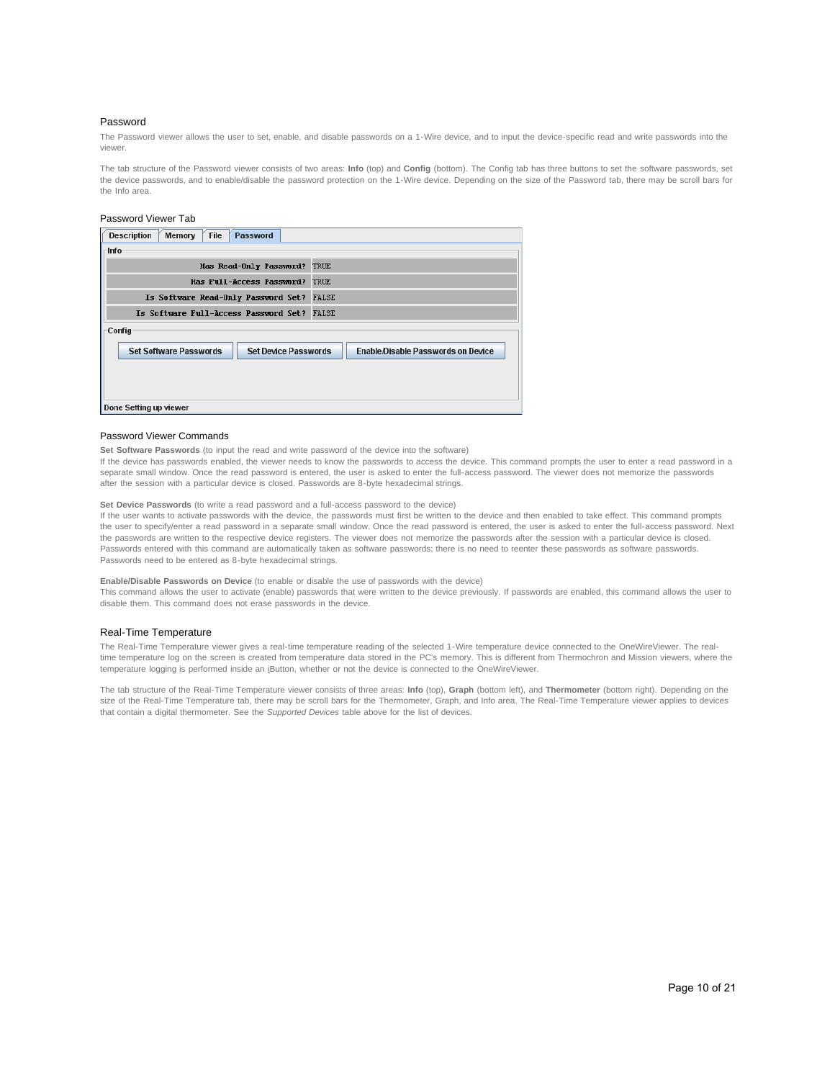## Password

The Password viewer allows the user to set, enable, and disable passwords on a 1-Wire device, and to input the device-specific read and write passwords into the viewer.

The tab structure of the Password viewer consists of two areas: **Info** (top) and **Config** (bottom). The Config tab has three buttons to set the software passwords, set the device passwords, and to enable/disable the password protection on the 1-Wire device. Depending on the size of the Password tab, there may be scroll bars for the Info area.

## Password Viewer Tab

| <b>File</b><br>Password<br><b>Description</b><br>Memory                                                   |  |  |  |  |  |
|-----------------------------------------------------------------------------------------------------------|--|--|--|--|--|
| $ $ -Info                                                                                                 |  |  |  |  |  |
| Has Read-Only Password? TRUE                                                                              |  |  |  |  |  |
| Has Full-Access Password? TRUE                                                                            |  |  |  |  |  |
| Is Software Read-Only Password Set? FALSE                                                                 |  |  |  |  |  |
| Is Software Full-Access Password Set? FALSE                                                               |  |  |  |  |  |
| <b>Config</b>                                                                                             |  |  |  |  |  |
| <b>Set Software Passwords</b><br><b>Set Device Passwords</b><br><b>Enable/Disable Passwords on Device</b> |  |  |  |  |  |
| Done Setting up viewer                                                                                    |  |  |  |  |  |

## Password Viewer Commands

**Set Software Passwords** (to input the read and write password of the device into the software)

If the device has passwords enabled, the viewer needs to know the passwords to access the device. This command prompts the user to enter a read password in a separate small window. Once the read password is entered, the user is asked to enter the full-access password. The viewer does not memorize the passwords after the session with a particular device is closed. Passwords are 8-byte hexadecimal strings.

#### **Set Device Passwords** (to write a read password and a full-access password to the device)

If the user wants to activate passwords with the device, the passwords must first be written to the device and then enabled to take effect. This command prompts the user to specify/enter a read password in a separate small window. Once the read password is entered, the user is asked to enter the full-access password. Next the passwords are written to the respective device registers. The viewer does not memorize the passwords after the session with a particular device is closed. Passwords entered with this command are automatically taken as software passwords; there is no need to reenter these passwords as software passwords. Passwords need to be entered as 8-byte hexadecimal strings.

## **Enable/Disable Passwords on Device** (to enable or disable the use of passwords with the device)

This command allows the user to activate (enable) passwords that were written to the device previously. If passwords are enabled, this command allows the user to disable them. This command does not erase passwords in the device.

#### Real-Time Temperature

The Real-Time Temperature viewer gives a real-time temperature reading of the selected 1-Wire temperature device connected to the OneWireViewer. The realtime temperature log on the screen is created from temperature data stored in the PC's memory. This is different from Thermochron and Mission viewers, where the temperature logging is performed inside an iButton, whether or not the device is connected to the OneWireViewer.

The tab structure of the Real-Time Temperature viewer consists of three areas: **Info** (top), **Graph** (bottom left), and **Thermometer** (bottom right). Depending on the size of the Real-Time Temperature tab, there may be scroll bars for the Thermometer, Graph, and Info area. The Real-Time Temperature viewer applies to devices that contain a digital thermometer. See the *Supported Devices* table above for the list of devices.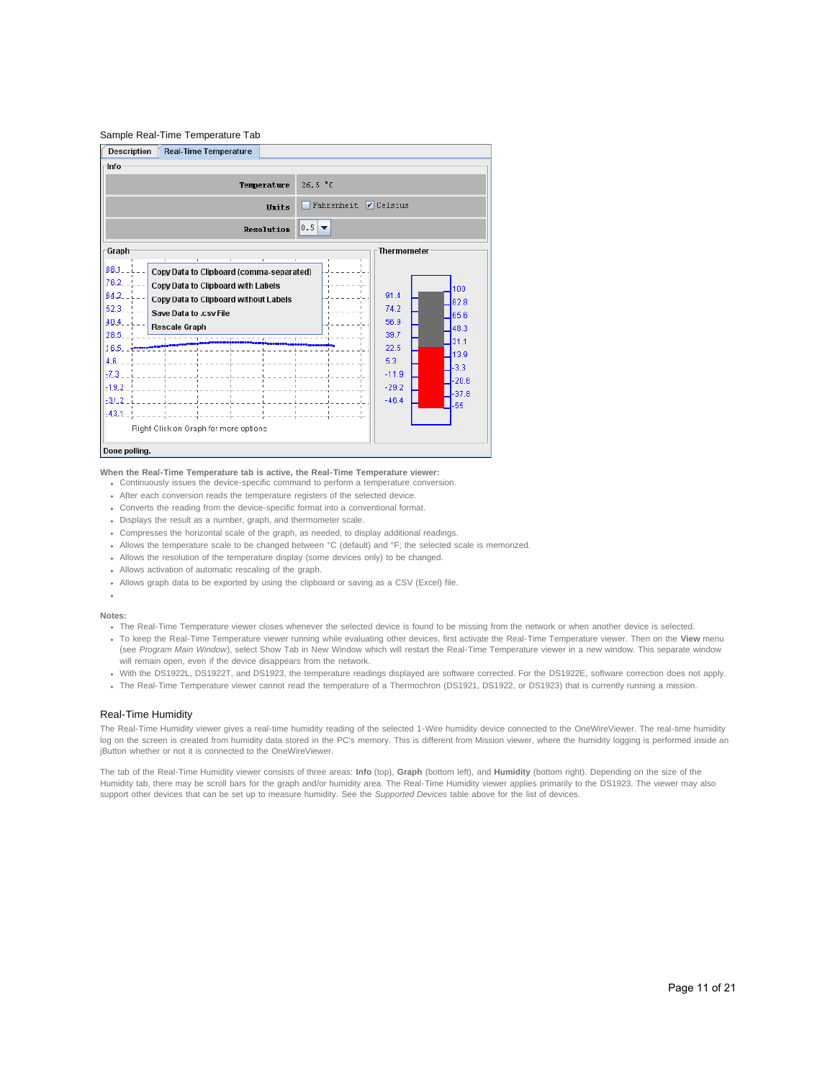# Sample Real-Time Temperature Tab



#### **When the Real-Time Temperature tab is active, the Real-Time Temperature viewer:**

- Continuously issues the device-specific command to perform a temperature conversion.
- After each conversion reads the temperature registers of the selected device.
- Converts the reading from the device-specific format into a conventional format.
- Displays the result as a number, graph, and thermometer scale.
- Compresses the horizontal scale of the graph, as needed, to display additional readings.
- Allows the temperature scale to be changed between °C (default) and °F; the selected scale is memorized.
- Allows the resolution of the temperature display (some devices only) to be changed.
- Allows activation of automatic rescaling of the graph.
- Allows graph data to be exported by using the clipboard or saving as a CSV (Excel) file.
- 

#### **Notes:**

- . The Real-Time Temperature viewer closes whenever the selected device is found to be missing from the network or when another device is selected.
- To keep the Real-Time Temperature viewer running while evaluating other devices, first activate the Real-Time Temperature viewer. Then on the **View** menu (see *Program Main Window*), select Show Tab in New Window which will restart the Real-Time Temperature viewer in a new window. This separate window will remain open, even if the device disappears from the network.
- With the DS1922L, DS1922T, and DS1923, the temperature readings displayed are software corrected. For the DS1922E, software correction does not apply.
- The Real-Time Temperature viewer cannot read the temperature of a Thermochron (DS1921, DS1922, or DS1923) that is currently running a mission.

## Real-Time Humidity

The Real-Time Humidity viewer gives a real-time humidity reading of the selected 1-Wire humidity device connected to the OneWireViewer. The real-time humidity log on the screen is created from humidity data stored in the PC's memory. This is different from Mission viewer, where the humidity logging is performed inside an iButton whether or not it is connected to the OneWireViewer.

The tab of the Real-Time Humidity viewer consists of three areas: **Info** (top), **Graph** (bottom left), and **Humidity** (bottom right). Depending on the size of the Humidity tab, there may be scroll bars for the graph and/or humidity area. The Real-Time Humidity viewer applies primarily to the DS1923. The viewer may also support other devices that can be set up to measure humidity. See the *Supported Devices* table above for the list of devices.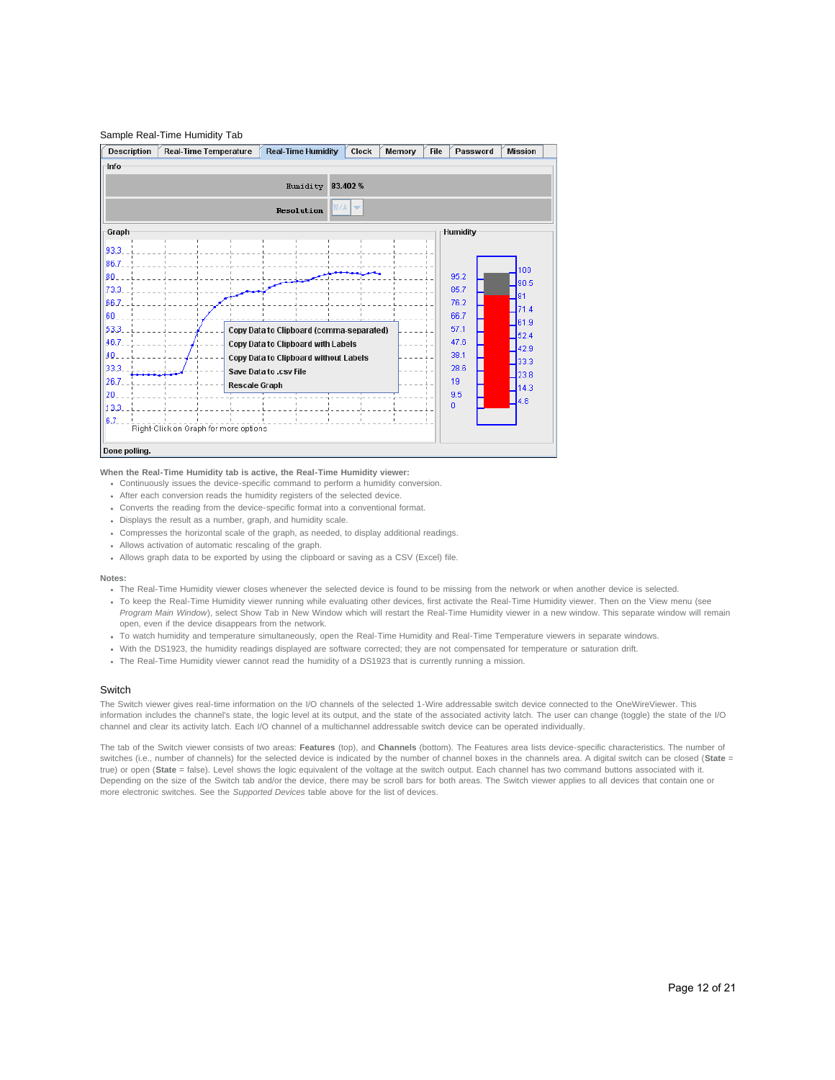## Sample Real-Time Humidity Tab



#### **When the Real-Time Humidity tab is active, the Real-Time Humidity viewer:**

- Continuously issues the device-specific command to perform a humidity conversion.
- After each conversion reads the humidity registers of the selected device.
- Converts the reading from the device-specific format into a conventional format.
- Displays the result as a number, graph, and humidity scale.
- Compresses the horizontal scale of the graph, as needed, to display additional readings.
- Allows activation of automatic rescaling of the graph.
- Allows graph data to be exported by using the clipboard or saving as a CSV (Excel) file.

## **Notes:**

- The Real-Time Humidity viewer closes whenever the selected device is found to be missing from the network or when another device is selected.
- To keep the Real-Time Humidity viewer running while evaluating other devices, first activate the Real-Time Humidity viewer. Then on the View menu (see *Program Main Window*), select Show Tab in New Window which will restart the Real-Time Humidity viewer in a new window. This separate window will remain open, even if the device disappears from the network.
- To watch humidity and temperature simultaneously, open the Real-Time Humidity and Real-Time Temperature viewers in separate windows.
- With the DS1923, the humidity readings displayed are software corrected; they are not compensated for temperature or saturation drift.
- The Real-Time Humidity viewer cannot read the humidity of a DS1923 that is currently running a mission.

## **Switch**

The Switch viewer gives real-time information on the I/O channels of the selected 1-Wire addressable switch device connected to the OneWireViewer. This information includes the channel's state, the logic level at its output, and the state of the associated activity latch. The user can change (toggle) the state of the I/O channel and clear its activity latch. Each I/O channel of a multichannel addressable switch device can be operated individually.

The tab of the Switch viewer consists of two areas: **Features** (top), and **Channels** (bottom). The Features area lists device-specific characteristics. The number of switches (i.e., number of channels) for the selected device is indicated by the number of channel boxes in the channels area. A digital switch can be closed (**State** = true) or open (**State** = false). Level shows the logic equivalent of the voltage at the switch output. Each channel has two command buttons associated with it. Depending on the size of the Switch tab and/or the device, there may be scroll bars for both areas. The Switch viewer applies to all devices that contain one or more electronic switches. See the *Supported Devices* table above for the list of devices.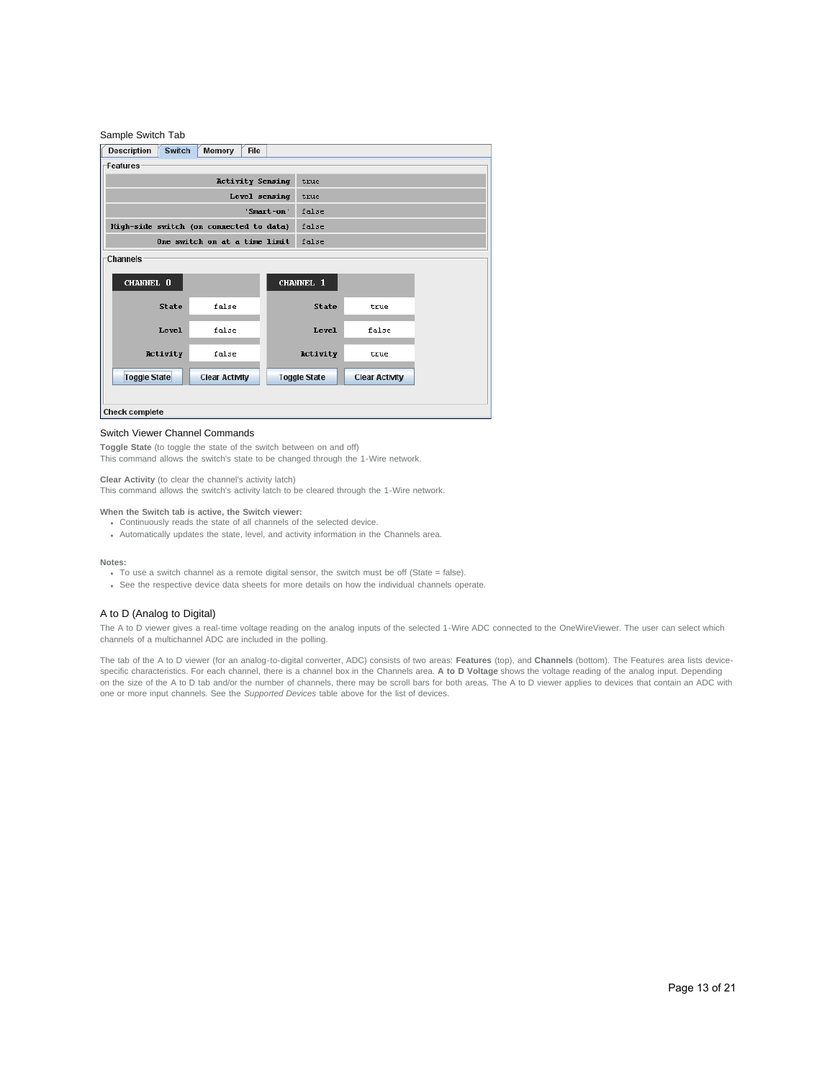| Sample Switch Tab                       |                               |            |                     |                       |  |  |  |  |  |
|-----------------------------------------|-------------------------------|------------|---------------------|-----------------------|--|--|--|--|--|
| <b>Description</b><br><b>Switch</b>     | Memory<br><b>File</b>         |            |                     |                       |  |  |  |  |  |
| Features                                |                               |            |                     |                       |  |  |  |  |  |
|                                         | <b>Activity Sensing</b>       |            | true                |                       |  |  |  |  |  |
|                                         | Level sensing                 |            | true                |                       |  |  |  |  |  |
|                                         |                               | 'Smart-on' | false               |                       |  |  |  |  |  |
| High-side switch (on connected to data) |                               |            | false               |                       |  |  |  |  |  |
|                                         | One switch on at a time limit |            | false               |                       |  |  |  |  |  |
| <b>Channels</b>                         |                               |            |                     |                       |  |  |  |  |  |
| CHANNEL 0                               |                               |            | CHANNEL 1           |                       |  |  |  |  |  |
| <b>State</b>                            | false                         |            | <b>State</b>        | true                  |  |  |  |  |  |
| Level                                   | false                         |            | Level               | false                 |  |  |  |  |  |
| Activity                                | false                         |            | Activity            | true                  |  |  |  |  |  |
| <b>Toggle State</b>                     | <b>Clear Activity</b>         |            | <b>Toggle State</b> | <b>Clear Activity</b> |  |  |  |  |  |
| <b>Check complete</b>                   |                               |            |                     |                       |  |  |  |  |  |

## Switch Viewer Channel Commands

**Toggle State** (to toggle the state of the switch between on and off) This command allows the switch's state to be changed through the 1-Wire network.

**Clear Activity** (to clear the channel's activity latch) This command allows the switch's activity latch to be cleared through the 1-Wire network.

## **When the Switch tab is active, the Switch viewer:**

- Continuously reads the state of all channels of the selected device.
- Automatically updates the state, level, and activity information in the Channels area.

#### **Notes:**

- To use a switch channel as a remote digital sensor, the switch must be off (State = false).
- See the respective device data sheets for more details on how the individual channels operate.

# A to D (Analog to Digital)

The A to D viewer gives a real-time voltage reading on the analog inputs of the selected 1-Wire ADC connected to the OneWireViewer. The user can select which channels of a multichannel ADC are included in the polling.

The tab of the A to D viewer (for an analog-to-digital converter, ADC) consists of two areas: **Features** (top), and **Channels** (bottom). The Features area lists devicespecific characteristics. For each channel, there is a channel box in the Channels area. **A to D Voltage** shows the voltage reading of the analog input. Depending on the size of the A to D tab and/or the number of channels, there may be scroll bars for both areas. The A to D viewer applies to devices that contain an ADC with one or more input channels. See the *Supported Devices* table above for the list of devices.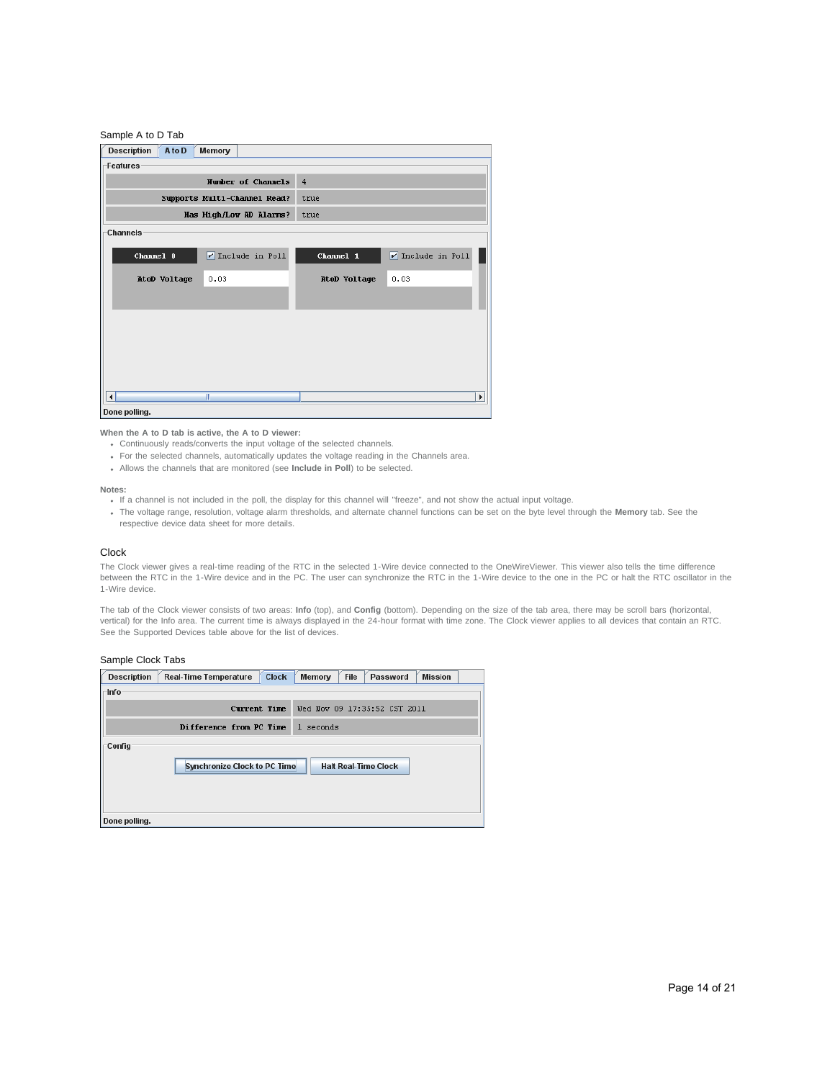| Sample A to D Tab            |                              |                |                       |
|------------------------------|------------------------------|----------------|-----------------------|
| <b>Description</b><br>A to D | Memory                       |                |                       |
| Features                     |                              |                |                       |
|                              | Number of Channels           | $\overline{4}$ |                       |
|                              | Supports Multi-Channel Read? | true           |                       |
|                              | Has High/Low AD Alarms?      | true           |                       |
| <b>Channels</b>              |                              |                |                       |
| Channel 0                    | $V$ Include in Poll          | Channel 1      | $V$ Include in Poll   |
| AtoD Voltage                 | 0.03                         | AtoD Voltage   | 0.03                  |
|                              |                              |                |                       |
|                              |                              |                |                       |
|                              |                              |                |                       |
|                              |                              |                |                       |
|                              |                              |                |                       |
| $\blacktriangleleft$         | Ш                            |                | $\blacktriangleright$ |
| Done polling.                |                              |                |                       |

**When the A to D tab is active, the A to D viewer:**

- Continuously reads/converts the input voltage of the selected channels.
- For the selected channels, automatically updates the voltage reading in the Channels area.
- Allows the channels that are monitored (see **Include in Poll**) to be selected.

#### **Notes:**

- If a channel is not included in the poll, the display for this channel will "freeze", and not show the actual input voltage.
- The voltage range, resolution, voltage alarm thresholds, and alternate channel functions can be set on the byte level through the **Memory** tab. See the respective device data sheet for more details.

#### Clock

The Clock viewer gives a real-time reading of the RTC in the selected 1-Wire device connected to the OneWireViewer. This viewer also tells the time difference between the RTC in the 1-Wire device and in the PC. The user can synchronize the RTC in the 1-Wire device to the one in the PC or halt the RTC oscillator in the 1-Wire device.

The tab of the Clock viewer consists of two areas: **Info** (top), and **Config** (bottom). Depending on the size of the tab area, there may be scroll bars (horizontal, vertical) for the Info area. The current time is always displayed in the 24-hour format with time zone. The Clock viewer applies to all devices that contain an RTC. See the Supported Devices table above for the list of devices.

# Sample Clock Tabs

| <b>Description</b>      | <b>Clock</b><br><b>Real-Time Temperature</b> | File<br>Memory<br><b>Mission</b><br>Password |
|-------------------------|----------------------------------------------|----------------------------------------------|
| -Info                   |                                              |                                              |
|                         | Current Time                                 | Wed Nov 09 17:35:52 CST 2011                 |
|                         | Difference from PC Time                      | seconds<br>$\mathbf{1}$                      |
| Config<br>Done polling. | <b>Synchronize Clock to PC Time</b>          | <b>Halt Real-Time Clock</b>                  |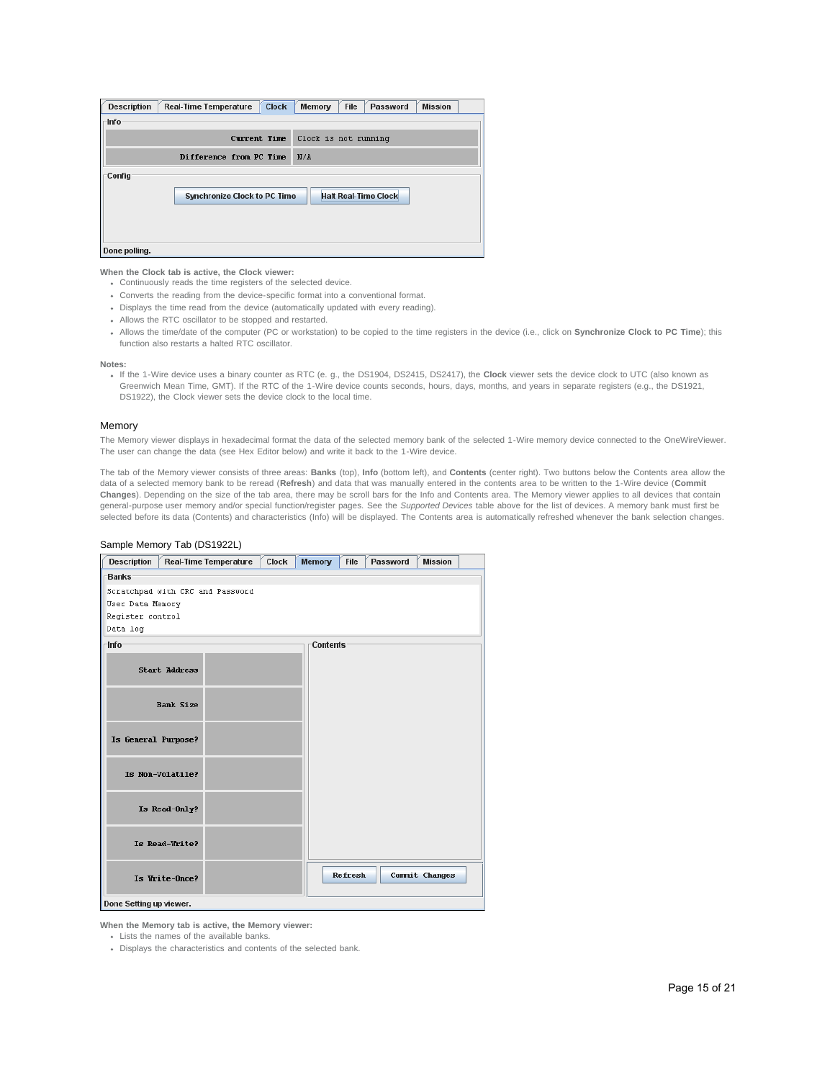| <b>Description</b> | <b>Clock</b><br><b>Real-Time Temperature</b> | Memory | <b>File</b>          | Password                    | <b>Mission</b> |  |
|--------------------|----------------------------------------------|--------|----------------------|-----------------------------|----------------|--|
| ⊤lnfo              |                                              |        |                      |                             |                |  |
|                    | Current Time                                 |        | Clock is not running |                             |                |  |
|                    | Difference from PC Time                      | N/A    |                      |                             |                |  |
| Config             | <b>Synchronize Clock to PC Time</b>          |        |                      | <b>Halt Real-Time Clock</b> |                |  |
| Done polling.      |                                              |        |                      |                             |                |  |

**When the Clock tab is active, the Clock viewer:**

- Continuously reads the time registers of the selected device.
- Converts the reading from the device-specific format into a conventional format.
- Displays the time read from the device (automatically updated with every reading).
- Allows the RTC oscillator to be stopped and restarted.
- Allows the time/date of the computer (PC or workstation) to be copied to the time registers in the device (i.e., click on **Synchronize Clock to PC Time**); this function also restarts a halted RTC oscillator.

#### **Notes:**

If the 1-Wire device uses a binary counter as RTC (e. g., the DS1904, DS2415, DS2417), the **Clock** viewer sets the device clock to UTC (also known as Greenwich Mean Time, GMT). If the RTC of the 1-Wire device counts seconds, hours, days, months, and years in separate registers (e.g., the DS1921, DS1922), the Clock viewer sets the device clock to the local time.

## Memory

The Memory viewer displays in hexadecimal format the data of the selected memory bank of the selected 1-Wire memory device connected to the OneWireViewer. The user can change the data (see Hex Editor below) and write it back to the 1-Wire device.

The tab of the Memory viewer consists of three areas: **Banks** (top), **Info** (bottom left), and **Contents** (center right). Two buttons below the Contents area allow the data of a selected memory bank to be reread (**Refresh**) and data that was manually entered in the contents area to be written to the 1-Wire device (**Commit Changes**). Depending on the size of the tab area, there may be scroll bars for the Info and Contents area. The Memory viewer applies to all devices that contain general-purpose user memory and/or special function/register pages. See the *Supported Devices* table above for the list of devices. A memory bank must first be selected before its data (Contents) and characteristics (Info) will be displayed. The Contents area is automatically refreshed whenever the bank selection changes.

| <b>Description</b>      | Real-Time Temperature            | Clock | <b>Memory</b>   | <b>File</b> | Password | <b>Mission</b> |  |
|-------------------------|----------------------------------|-------|-----------------|-------------|----------|----------------|--|
| <b>Banks</b>            |                                  |       |                 |             |          |                |  |
|                         | Scratchpad with CRC and Password |       |                 |             |          |                |  |
| User Data Memory        |                                  |       |                 |             |          |                |  |
| Register control        |                                  |       |                 |             |          |                |  |
| Data log                |                                  |       |                 |             |          |                |  |
| -Info-                  |                                  |       | <b>Contents</b> |             |          |                |  |
| <b>Start Address</b>    |                                  |       |                 |             |          |                |  |
|                         | <b>Bank Size</b>                 |       |                 |             |          |                |  |
| Is General Purpose?     |                                  |       |                 |             |          |                |  |
| Is Non-Volatile?        |                                  |       |                 |             |          |                |  |
| Is Read-Only?           |                                  |       |                 |             |          |                |  |
| Is Read-Write?          |                                  |       |                 |             |          |                |  |
| Is Write-Once?          |                                  |       |                 | Refresh     |          | Commit Changes |  |
| Done Setting up viewer. |                                  |       |                 |             |          |                |  |

## Sample Memory Tab (DS1922L)

**When the Memory tab is active, the Memory viewer:**

Lists the names of the available banks.

Displays the characteristics and contents of the selected bank.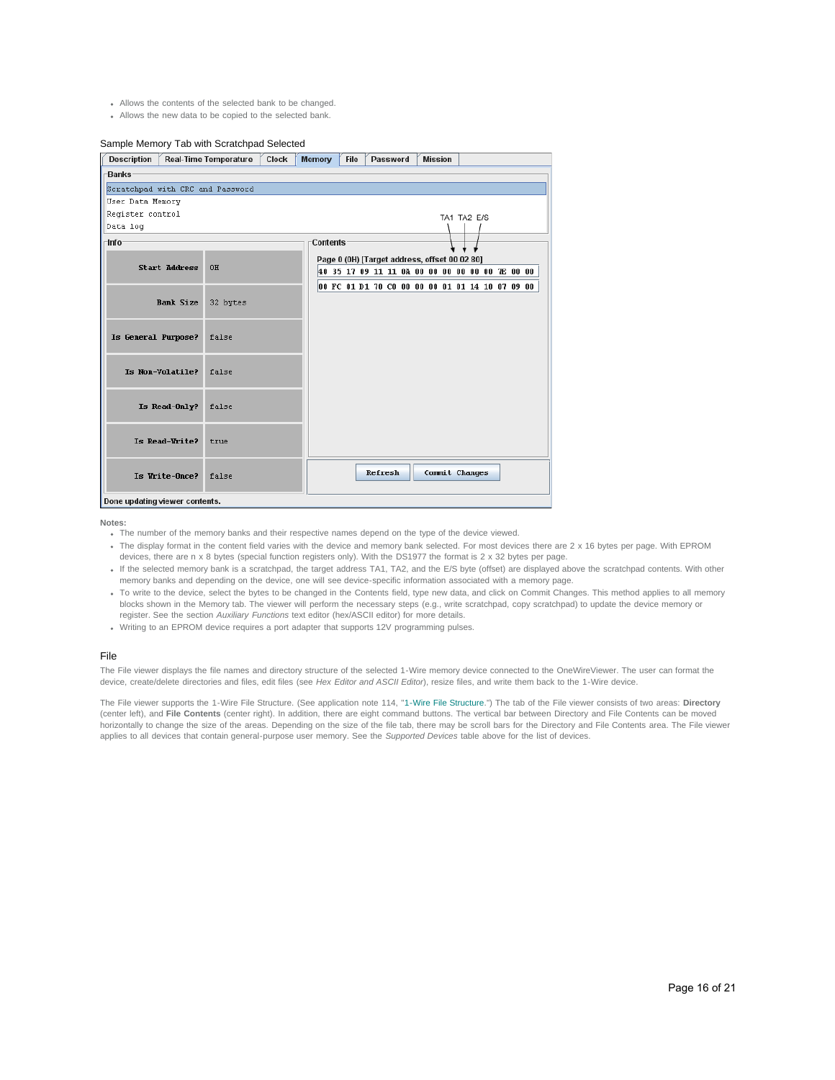- Allows the contents of the selected bank to be changed.
- Allows the new data to be copied to the selected bank.

## Sample Memory Tab with Scratchpad Selected

| <b>Description</b>               |                      | <b>Real-Time Temperature</b> | <b>Clock</b> | <b>Memory</b> | <b>File</b> |         | Password                                        | <b>Mission</b> |             |  |  |
|----------------------------------|----------------------|------------------------------|--------------|---------------|-------------|---------|-------------------------------------------------|----------------|-------------|--|--|
| <b>Banks</b>                     |                      |                              |              |               |             |         |                                                 |                |             |  |  |
| Scratchpad with CRC and Password |                      |                              |              |               |             |         |                                                 |                |             |  |  |
| User Data Memory                 |                      |                              |              |               |             |         |                                                 |                |             |  |  |
| Register control                 |                      |                              |              |               |             |         |                                                 |                | TA1 TA2 E/S |  |  |
| Data log                         |                      |                              |              |               |             |         |                                                 |                |             |  |  |
| Info                             |                      |                              |              | Contents      |             |         |                                                 |                |             |  |  |
|                                  |                      |                              |              |               |             |         | Page 0 (0H) [Target address, offset 00 02 80]   |                |             |  |  |
|                                  | <b>Start Address</b> | 0H                           |              |               |             |         | 40 35 17 09 11 11 0A 00 00 00 00 00 00 7E 00 00 |                |             |  |  |
|                                  |                      |                              |              |               |             |         | 00 FC 01 D1 70 C0 00 00 00 01 01 14 10 07 09 00 |                |             |  |  |
|                                  | <b>Bank Size</b>     | 32 bytes                     |              |               |             |         |                                                 |                |             |  |  |
|                                  |                      |                              |              |               |             |         |                                                 |                |             |  |  |
|                                  |                      |                              |              |               |             |         |                                                 |                |             |  |  |
| Is General Purpose?              |                      | false                        |              |               |             |         |                                                 |                |             |  |  |
|                                  |                      |                              |              |               |             |         |                                                 |                |             |  |  |
|                                  | Is Non-Volatile?     | false                        |              |               |             |         |                                                 |                |             |  |  |
|                                  |                      |                              |              |               |             |         |                                                 |                |             |  |  |
|                                  | Is Read-Only?        | false                        |              |               |             |         |                                                 |                |             |  |  |
|                                  |                      |                              |              |               |             |         |                                                 |                |             |  |  |
|                                  |                      |                              |              |               |             |         |                                                 |                |             |  |  |
|                                  | Is Read-Write?       | true                         |              |               |             |         |                                                 |                |             |  |  |
|                                  |                      |                              |              |               |             |         |                                                 |                |             |  |  |
|                                  | Is Write-Once?       | false                        |              |               |             | Refresh |                                                 | Commit Changes |             |  |  |
|                                  |                      |                              |              |               |             |         |                                                 |                |             |  |  |
| Done updating viewer contents.   |                      |                              |              |               |             |         |                                                 |                |             |  |  |

**Notes:**

- The number of the memory banks and their respective names depend on the type of the device viewed.
- . The display format in the content field varies with the device and memory bank selected. For most devices there are 2 x 16 bytes per page. With EPROM devices, there are n x 8 bytes (special function registers only). With the DS1977 the format is 2 x 32 bytes per page.
- If the selected memory bank is a scratchpad, the target address TA1, TA2, and the E/S byte (offset) are displayed above the scratchpad contents. With other memory banks and depending on the device, one will see device-specific information associated with a memory page.
- To write to the device, select the bytes to be changed in the Contents field, type new data, and click on Commit Changes. This method applies to all memory blocks shown in the Memory tab. The viewer will perform the necessary steps (e.g., write scratchpad, copy scratchpad) to update the device memory or register. See the section *Auxiliary Functions* text editor (hex/ASCII editor) for more details.
- Writing to an EPROM device requires a port adapter that supports 12V programming pulses.

#### File

The File viewer displays the file names and directory structure of the selected 1-Wire memory device connected to the OneWireViewer. The user can format the device, create/delete directories and files, edit files (see *Hex Editor and ASCII Editor*), resize files, and write them back to the 1-Wire device.

The File viewer supports the 1-Wire File Structure. (See application note 114, "[1-Wire File Structure.](http://www.maximintegrated.com/an114)") The tab of the File viewer consists of two areas: **Directory** (center left), and **File Contents** (center right). In addition, there are eight command buttons. The vertical bar between Directory and File Contents can be moved horizontally to change the size of the areas. Depending on the size of the file tab, there may be scroll bars for the Directory and File Contents area. The File viewer applies to all devices that contain general-purpose user memory. See the *Supported Devices* table above for the list of devices.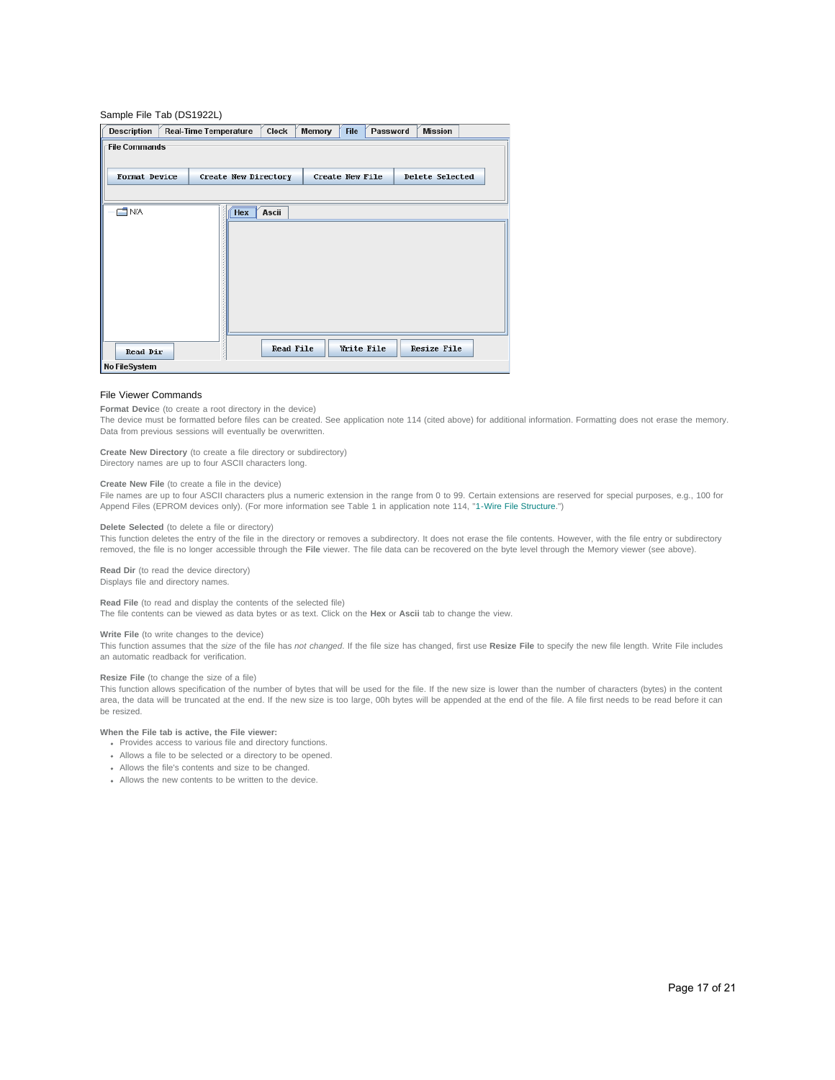## Sample File Tab (DS1922L)

| <b>Description</b>   | Clock<br><b>Real-Time Temperature</b> | Memory<br><b>File</b><br>Password | <b>Mission</b>     |
|----------------------|---------------------------------------|-----------------------------------|--------------------|
| <b>File Commands</b> |                                       |                                   |                    |
| <b>Format Device</b> | Create New Directory                  | <b>Create New File</b>            | Delete Selected    |
| <b>O</b> N/A         | <b>Hex</b><br>Ascii                   |                                   |                    |
|                      |                                       |                                   |                    |
|                      |                                       |                                   |                    |
|                      |                                       |                                   |                    |
|                      |                                       |                                   |                    |
|                      |                                       |                                   |                    |
| <b>Read Dir</b>      | <b>Read File</b>                      | Write File                        | <b>Resize File</b> |
| No FileSystem        |                                       |                                   |                    |

#### File Viewer Commands

**Format Devic**e (to create a root directory in the device)

The device must be formatted before files can be created. See application note 114 (cited above) for additional information. Formatting does not erase the memory. Data from previous sessions will eventually be overwritten.

#### **Create New Directory** (to create a file directory or subdirectory)

Directory names are up to four ASCII characters long.

#### **Create New File** (to create a file in the device)

File names are up to four ASCII characters plus a numeric extension in the range from 0 to 99. Certain extensions are reserved for special purposes, e.g., 100 for Append Files (EPROM devices only). (For more information see Table 1 in application note 114, "[1-Wire File Structure.](http://www.maximintegrated.com/an114)")

#### **Delete Selected** (to delete a file or directory)

This function deletes the entry of the file in the directory or removes a subdirectory. It does not erase the file contents. However, with the file entry or subdirectory removed, the file is no longer accessible through the **File** viewer. The file data can be recovered on the byte level through the Memory viewer (see above).

## **Read Dir** (to read the device directory)

Displays file and directory names.

## **Read File** (to read and display the contents of the selected file)

The file contents can be viewed as data bytes or as text. Click on the **Hex** or **Ascii** tab to change the view.

# **Write File** (to write changes to the device)

This function assumes that the *size* of the file has *not changed*. If the file size has changed, first use **Resize File** to specify the new file length. Write File includes an automatic readback for verification.

## **Resize File** (to change the size of a file)

This function allows specification of the number of bytes that will be used for the file. If the new size is lower than the number of characters (bytes) in the content area, the data will be truncated at the end. If the new size is too large, 00h bytes will be appended at the end of the file. A file first needs to be read before it can be resized.

## **When the File tab is active, the File viewer:**

- Provides access to various file and directory functions.
- Allows a file to be selected or a directory to be opened.
- Allows the file's contents and size to be changed.
- Allows the new contents to be written to the device.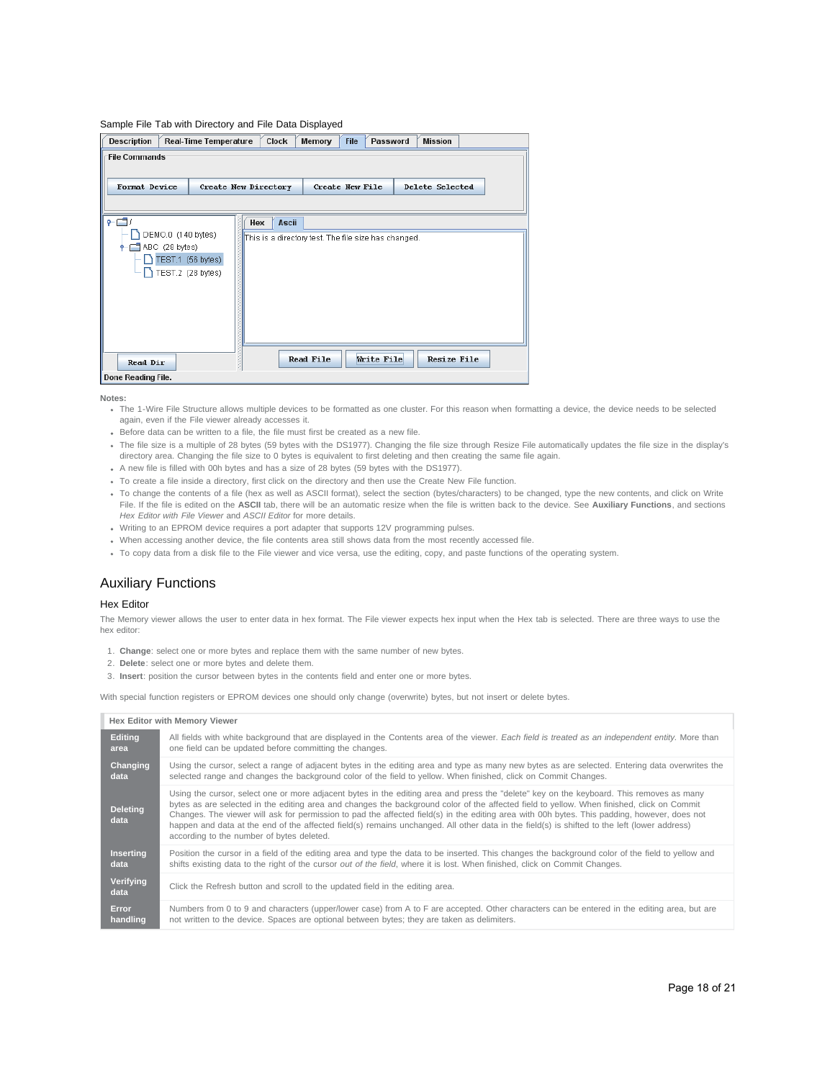#### Sample File Tab with Directory and File Data Displayed

| <b>Description</b>   |                | <b>Real-Time Temperature</b>                                 | <b>Clock</b>         | <b>File</b><br>Memory                                | Password   | <b>Mission</b>         |  |
|----------------------|----------------|--------------------------------------------------------------|----------------------|------------------------------------------------------|------------|------------------------|--|
| <b>File Commands</b> |                |                                                              |                      |                                                      |            |                        |  |
| Format Device        |                |                                                              | Create New Directory | <b>Create New File</b>                               |            | <b>Delete Selected</b> |  |
|                      |                |                                                              |                      |                                                      |            |                        |  |
| 名目                   |                |                                                              | Ascii<br>Hex         |                                                      |            |                        |  |
| ۰                    | ABC (28 bytes) | DEMO.0 (140 bytes)<br>TEST.1 (56 bytes)<br>TEST.2 (28 bytes) |                      | This is a directory test. The file size has changed. |            |                        |  |
| <b>Read Dir</b>      |                |                                                              |                      | <b>Read File</b>                                     | Write File | <b>Resize File</b>     |  |
| Done Reading File.   |                |                                                              |                      |                                                      |            |                        |  |

**Notes:**

- The 1-Wire File Structure allows multiple devices to be formatted as one cluster. For this reason when formatting a device, the device needs to be selected again, even if the File viewer already accesses it.
- Before data can be written to a file, the file must first be created as a new file.
- The file size is a multiple of 28 bytes (59 bytes with the DS1977). Changing the file size through Resize File automatically updates the file size in the display's directory area. Changing the file size to 0 bytes is equivalent to first deleting and then creating the same file again.
- A new file is filled with 00h bytes and has a size of 28 bytes (59 bytes with the DS1977).
- To create a file inside a directory, first click on the directory and then use the Create New File function.
- To change the contents of a file (hex as well as ASCII format), select the section (bytes/characters) to be changed, type the new contents, and click on Write File. If the file is edited on the **ASCII** tab, there will be an automatic resize when the file is written back to the device. See **Auxiliary Functions**, and sections *Hex Editor with File Viewer* and *ASCII Editor* for more details.
- Writing to an EPROM device requires a port adapter that supports 12V programming pulses.
- When accessing another device, the file contents area still shows data from the most recently accessed file.
- To copy data from a disk file to the File viewer and vice versa, use the editing, copy, and paste functions of the operating system.

# Auxiliary Functions

## Hex Editor

The Memory viewer allows the user to enter data in hex format. The File viewer expects hex input when the Hex tab is selected. There are three ways to use the hex editor:

- 1. **Change**: select one or more bytes and replace them with the same number of new bytes.
- 2. **Delete**: select one or more bytes and delete them.
- 3. **Insert**: position the cursor between bytes in the contents field and enter one or more bytes.

With special function registers or EPROM devices one should only change (overwrite) bytes, but not insert or delete bytes.

# **Hex Editor with Memory Viewer**

| <b>Editing</b>          | All fields with white background that are displayed in the Contents area of the viewer. Each field is treated as an independent entity. More than                                                                                                                                                                                                                                                                                                                                                                                                                                                                                   |
|-------------------------|-------------------------------------------------------------------------------------------------------------------------------------------------------------------------------------------------------------------------------------------------------------------------------------------------------------------------------------------------------------------------------------------------------------------------------------------------------------------------------------------------------------------------------------------------------------------------------------------------------------------------------------|
| area                    | one field can be updated before committing the changes.                                                                                                                                                                                                                                                                                                                                                                                                                                                                                                                                                                             |
| Changing                | Using the cursor, select a range of adjacent bytes in the editing area and type as many new bytes as are selected. Entering data overwrites the                                                                                                                                                                                                                                                                                                                                                                                                                                                                                     |
| data                    | selected range and changes the background color of the field to yellow. When finished, click on Commit Changes.                                                                                                                                                                                                                                                                                                                                                                                                                                                                                                                     |
| <b>Deleting</b><br>data | Using the cursor, select one or more adjacent bytes in the editing area and press the "delete" key on the keyboard. This removes as many<br>bytes as are selected in the editing area and changes the background color of the affected field to yellow. When finished, click on Commit<br>Changes. The viewer will ask for permission to pad the affected field(s) in the editing area with 00h bytes. This padding, however, does not<br>happen and data at the end of the affected field(s) remains unchanged. All other data in the field(s) is shifted to the left (lower address)<br>according to the number of bytes deleted. |
| Inserting               | Position the cursor in a field of the editing area and type the data to be inserted. This changes the background color of the field to yellow and                                                                                                                                                                                                                                                                                                                                                                                                                                                                                   |
| data                    | shifts existing data to the right of the cursor <i>out of the field</i> , where it is lost. When finished, click on Commit Changes.                                                                                                                                                                                                                                                                                                                                                                                                                                                                                                 |
| Verifying<br>data       | Click the Refresh button and scroll to the updated field in the editing area.                                                                                                                                                                                                                                                                                                                                                                                                                                                                                                                                                       |
| Error                   | Numbers from 0 to 9 and characters (upper/lower case) from A to F are accepted. Other characters can be entered in the editing area, but are                                                                                                                                                                                                                                                                                                                                                                                                                                                                                        |
| handling                | not written to the device. Spaces are optional between bytes; they are taken as delimiters.                                                                                                                                                                                                                                                                                                                                                                                                                                                                                                                                         |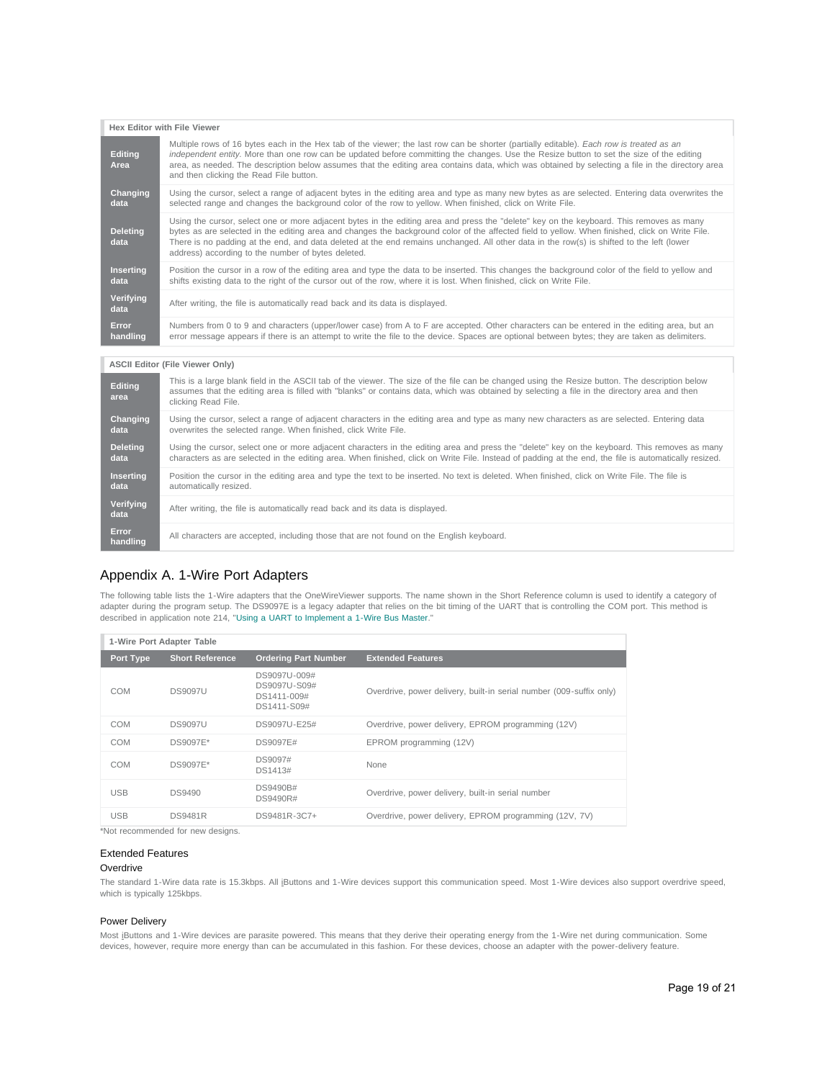#### **Hex Editor with File Viewer Editing Area** Multiple rows of 16 bytes each in the Hex tab of the viewer; the last row can be shorter (partially editable). *Each row is treated as an independent entity.* More than one row can be updated before committing the changes. Use the Resize button to set the size of the editing area, as needed. The description below assumes that the editing area contains data, which was obtained by selecting a file in the directory area and then clicking the Read File button. **Changing data** Using the cursor, select a range of adjacent bytes in the editing area and type as many new bytes as are selected. Entering data overwrites the selected range and changes the background color of the row to yellow. When finished, click on Write File. **Deleting data** Using the cursor, select one or more adjacent bytes in the editing area and press the "delete" key on the keyboard. This removes as many bytes as are selected in the editing area and changes the background color of the affected field to yellow. When finished, click on Write File. There is no padding at the end, and data deleted at the end remains unchanged. All other data in the row(s) is shifted to the left (lower address) according to the number of bytes deleted. **Inserting data** Position the cursor in a row of the editing area and type the data to be inserted. This changes the background color of the field to yellow and shifts existing data to the right of the cursor out of the row, where it is lost. When finished, click on Write File. **Verifying** After writing, the file is automatically read back and its data is displayed. **Error handling** Numbers from 0 to 9 and characters (upper/lower case) from A to F are accepted. Other characters can be entered in the editing area, but an error message appears if there is an attempt to write the file to the device. Spaces are optional between bytes; they are taken as delimiters.

#### **ASCII Editor (File Viewer Only)**

| Editing<br>area          | This is a large blank field in the ASCII tab of the viewer. The size of the file can be changed using the Resize button. The description below<br>assumes that the editing area is filled with "blanks" or contains data, which was obtained by selecting a file in the directory area and then<br>clicking Read File. |
|--------------------------|------------------------------------------------------------------------------------------------------------------------------------------------------------------------------------------------------------------------------------------------------------------------------------------------------------------------|
| Changing<br>data         | Using the cursor, select a range of adjacent characters in the editing area and type as many new characters as are selected. Entering data<br>overwrites the selected range. When finished, click Write File.                                                                                                          |
| <b>Deleting</b><br>data  | Using the cursor, select one or more adjacent characters in the editing area and press the "delete" key on the keyboard. This removes as many<br>characters as are selected in the editing area. When finished, click on Write File. Instead of padding at the end, the file is automatically resized.                 |
| <b>Inserting</b><br>data | Position the cursor in the editing area and type the text to be inserted. No text is deleted. When finished, click on Write File. The file is<br>automatically resized.                                                                                                                                                |
| Verifying<br>data        | After writing, the file is automatically read back and its data is displayed.                                                                                                                                                                                                                                          |
| Error<br>handling        | All characters are accepted, including those that are not found on the English keyboard.                                                                                                                                                                                                                               |

# Appendix A. 1-Wire Port Adapters

The following table lists the 1-Wire adapters that the OneWireViewer supports. The name shown in the Short Reference column is used to identify a category of adapter during the program setup. The DS9097E is a legacy adapter that relies on the bit timing of the UART that is controlling the COM port. This method is described in application note 214, ["Using a UART to Implement a 1-Wire Bus Master.](http://www.maximintegrated.com/an214)"

| 1-Wire Port Adapter Table |                        |                                                            |                                                                     |  |  |  |  |  |
|---------------------------|------------------------|------------------------------------------------------------|---------------------------------------------------------------------|--|--|--|--|--|
| Port Type                 | <b>Short Reference</b> | <b>Ordering Part Number</b>                                | <b>Extended Features</b>                                            |  |  |  |  |  |
| COM                       | <b>DS9097U</b>         | DS9097U-009#<br>DS9097U-S09#<br>DS1411-009#<br>DS1411-S09# | Overdrive, power delivery, built-in serial number (009-suffix only) |  |  |  |  |  |
| COM                       | <b>DS9097U</b>         | DS9097U-E25#                                               | Overdrive, power delivery, EPROM programming (12V)                  |  |  |  |  |  |
| COM                       | DS9097E*               | DS9097E#                                                   | EPROM programming (12V)                                             |  |  |  |  |  |
| COM                       | DS9097E*               | DS9097#<br>DS1413#                                         | None                                                                |  |  |  |  |  |
| <b>USB</b>                | <b>DS9490</b>          | DS9490B#<br>DS9490R#                                       | Overdrive, power delivery, built-in serial number                   |  |  |  |  |  |
| <b>USB</b>                | <b>DS9481R</b>         | DS9481R-3C7+                                               | Overdrive, power delivery, EPROM programming (12V, 7V)              |  |  |  |  |  |

\*Not recommended for new designs.

## Extended Features

## **Overdrive**

The standard 1-Wire data rate is 15.3kbps. All iButtons and 1-Wire devices support this communication speed. Most 1-Wire devices also support overdrive speed, which is typically 125kbps.

# Power Delivery

Most iButtons and 1-Wire devices are parasite powered. This means that they derive their operating energy from the 1-Wire net during communication. Some devices, however, require more energy than can be accumulated in this fashion. For these devices, choose an adapter with the power-delivery feature.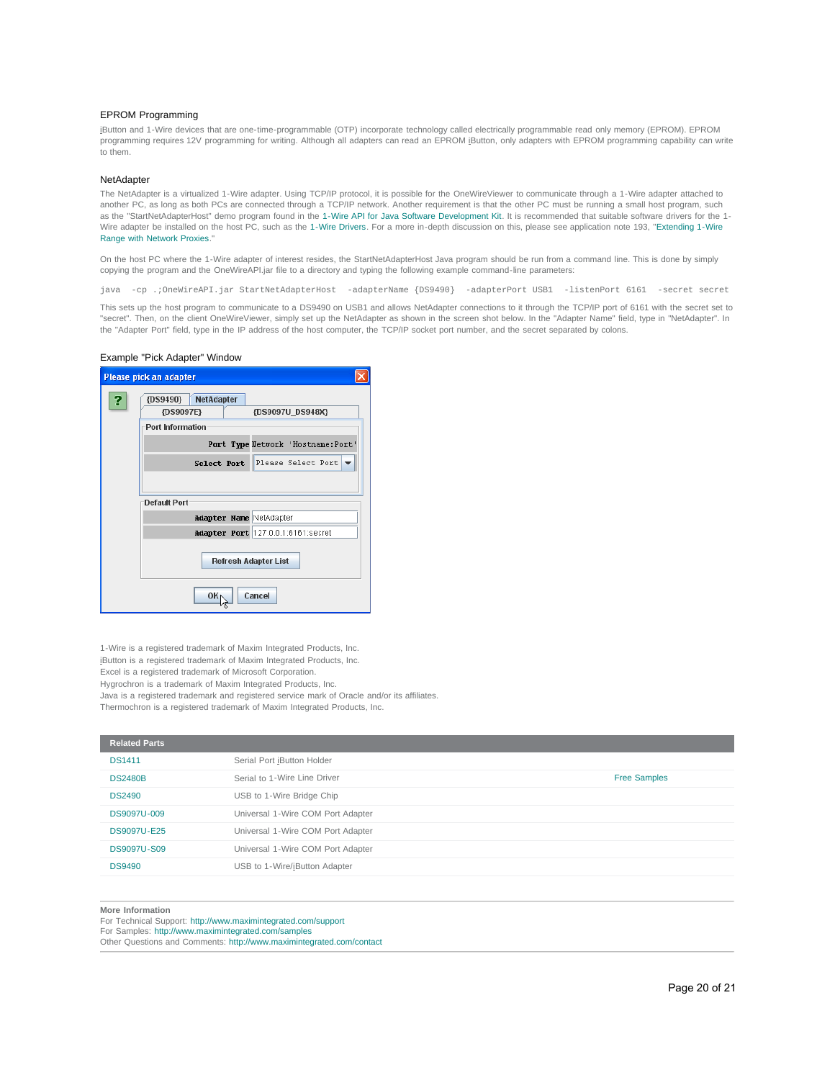## EPROM Programming

iButton and 1-Wire devices that are one-time-programmable (OTP) incorporate technology called electrically programmable read only memory (EPROM). EPROM programming requires 12V programming for writing. Although all adapters can read an EPROM jButton, only adapters with EPROM programming capability can write to them.

## **NetAdapter**

The NetAdapter is a virtualized 1-Wire adapter. Using TCP/IP protocol, it is possible for the OneWireViewer to communicate through a 1-Wire adapter attached to another PC, as long as both PCs are connected through a TCP/IP network. Another requirement is that the other PC must be running a small host program, such as the "StartNetAdapterHost" demo program found in the [1-Wire API for Java Software Development Kit.](http://www.maximintegrated.com/products/ibutton/software/1wire/1wire_api.cfm) It is recommended that suitable software drivers for the 1- Wire adapter be installed on the host PC, such as the [1-Wire Drivers.](http://www.maximintegrated.com/products/ibutton/software/tmex/) For a more in-depth discussion on this, please see application note 193, ["Extending 1-Wire](http://www.maximintegrated.com/an193) [Range with Network Proxies](http://www.maximintegrated.com/an193)."

On the host PC where the 1-Wire adapter of interest resides, the StartNetAdapterHost Java program should be run from a command line. This is done by simply copying the program and the OneWireAPI.jar file to a directory and typing the following example command-line parameters:

java -cp .;OneWireAPI.jar StartNetAdapterHost -adapterName {DS9490} -adapterPort USB1 -listenPort 6161 -secret secret

This sets up the host program to communicate to a DS9490 on USB1 and allows NetAdapter connections to it through the TCP/IP port of 6161 with the secret set to "secret". Then, on the client OneWireViewer, simply set up the NetAdapter as shown in the screen shot below. In the "Adapter Name" field, type in "NetAdapter". In the "Adapter Port" field, type in the IP address of the host computer, the TCP/IP socket port number, and the secret separated by colons.

# Example "Pick Adapter" Window

|   | Please pick an adapter             |  |  |  |  |  |  |  |  |
|---|------------------------------------|--|--|--|--|--|--|--|--|
| R | <b>NetAdapter</b><br>{DS9490}      |  |  |  |  |  |  |  |  |
|   | {DS9097E}<br>{DS9097U DS948X}      |  |  |  |  |  |  |  |  |
|   | <b>Port Information</b>            |  |  |  |  |  |  |  |  |
|   | Port Type Network 'Hostname: Port' |  |  |  |  |  |  |  |  |
|   | Select Port Please Select Port     |  |  |  |  |  |  |  |  |
|   |                                    |  |  |  |  |  |  |  |  |
|   | Default Port                       |  |  |  |  |  |  |  |  |
|   | <b>Adapter Name NetAdapter</b>     |  |  |  |  |  |  |  |  |
|   | Adapter Port 127.0.0.1:6161:secret |  |  |  |  |  |  |  |  |
|   | <b>Refresh Adapter List</b>        |  |  |  |  |  |  |  |  |
|   | Cancel<br>OK                       |  |  |  |  |  |  |  |  |

1-Wire is a registered trademark of Maxim Integrated Products, Inc. iButton is a registered trademark of Maxim Integrated Products, Inc. Excel is a registered trademark of Microsoft Corporation. Hygrochron is a trademark of Maxim Integrated Products, Inc. Java is a registered trademark and registered service mark of Oracle and/or its affiliates. Thermochron is a registered trademark of Maxim Integrated Products, Inc.

| <b>Related Parts</b> |                                   |                     |
|----------------------|-----------------------------------|---------------------|
| <b>DS1411</b>        | Serial Port iButton Holder        |                     |
| <b>DS2480B</b>       | Serial to 1-Wire Line Driver      | <b>Free Samples</b> |
| <b>DS2490</b>        | USB to 1-Wire Bridge Chip         |                     |
| DS9097U-009          | Universal 1-Wire COM Port Adapter |                     |
| <b>DS9097U-E25</b>   | Universal 1-Wire COM Port Adapter |                     |
| <b>DS9097U-S09</b>   | Universal 1-Wire COM Port Adapter |                     |
| <b>DS9490</b>        | USB to 1-Wire/iButton Adapter     |                     |
|                      |                                   |                     |

#### **More Information**

For Technical Support: <http://www.maximintegrated.com/support> For Samples: <http://www.maximintegrated.com/samples>

Other Questions and Comments: <http://www.maximintegrated.com/contact>